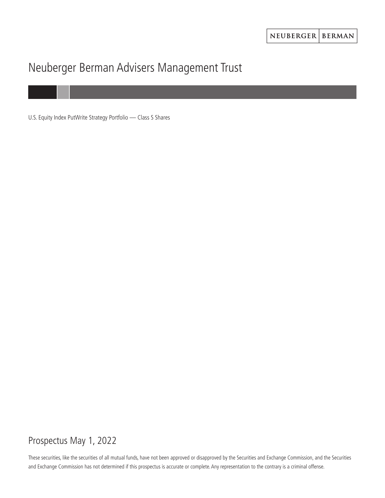# Neuberger Berman Advisers Management Trust

U.S. Equity Index PutWrite Strategy Portfolio — Class S Shares

# Prospectus May 1, 2022

These securities, like the securities of all mutual funds, have not been approved or disapproved by the Securities and Exchange Commission, and the Securities and Exchange Commission has not determined if this prospectus is accurate or complete. Any representation to the contrary is a criminal offense.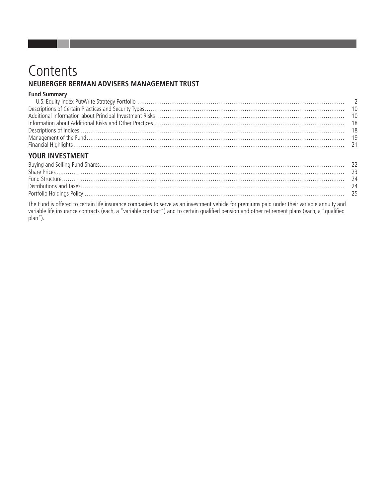# Contents NEUBERGER BERMAN ADVISERS MANAGEMENT TRUST

### **Fund Summary**

### YOUR INVESTMENT

The Fund is offered to certain life insurance companies to serve as an investment vehicle for premiums paid under their variable annuity and variable life insurance contracts (each, a "variable contract") and to certain qu plan").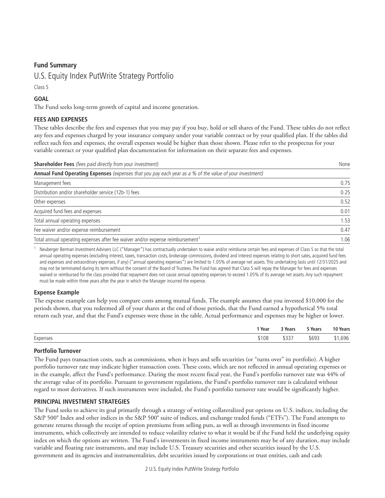### <span id="page-3-0"></span>**Fund Summary**

### U.S. Equity Index PutWrite Strategy Portfolio

Class S

### **GOAL**

The Fund seeks long-term growth of capital and income generation.

### **FEES AND EXPENSES**

These tables describe the fees and expenses that you may pay if you buy, hold or sell shares of the Fund. These tables do not reflect any fees and expenses charged by your insurance company under your variable contract or by your qualified plan. If the tables did reflect such fees and expenses, the overall expenses would be higher than those shown. Please refer to the prospectus for your variable contract or your qualified plan documentation for information on their separate fees and expenses.

| <b>Shareholder Fees</b> (fees paid directly from your investment)                                       | None |
|---------------------------------------------------------------------------------------------------------|------|
| Annual Fund Operating Expenses (expenses that you pay each year as a % of the value of your investment) |      |
| Management fees                                                                                         | 0.75 |
| Distribution and/or shareholder service (12b-1) fees                                                    | 0.25 |
| Other expenses                                                                                          | 0.52 |
| Acquired fund fees and expenses                                                                         | 0.01 |
| Total annual operating expenses                                                                         | 1.53 |
| Fee waiver and/or expense reimbursement                                                                 | 0.47 |
| Total annual operating expenses after fee waiver and/or expense reimbursement <sup>1</sup>              | 1.06 |

<sup>1</sup> Neuberger Berman Investment Advisers LLC ("Manager") has contractually undertaken to waive and/or reimburse certain fees and expenses of Class S so that the total annual operating expenses (excluding interest, taxes, transaction costs, brokerage commissions, dividend and interest expenses relating to short sales, acquired fund fees and expenses and extraordinary expenses, if any) ("annual operating expenses") are limited to 1.05% of average net assets. This undertaking lasts until 12/31/2025 and may not be terminated during its term without the consent of the Board of Trustees. The Fund has agreed that Class S will repay the Manager for fees and expenses waived or reimbursed for the class provided that repayment does not cause annual operating expenses to exceed 1.05% of its average net assets. Any such repayment must be made within three years after the year in which the Manager incurred the expense.

### **Expense Example**

The expense example can help you compare costs among mutual funds. The example assumes that you invested \$10,000 for the periods shown, that you redeemed all of your shares at the end of those periods, that the Fund earned a hypothetical 5% total return each year, and that the Fund's expenses were those in the table. Actual performance and expenses may be higher or lower.

|                    | 'Year | 3 Years | 5 Years | 10 Years |
|--------------------|-------|---------|---------|----------|
| $\sim$<br>Expenses | ,108  | \$337   | \$693   | ,696     |

### **Portfolio Turnover**

The Fund pays transaction costs, such as commissions, when it buys and sells securities (or "turns over" its portfolio). A higher portfolio turnover rate may indicate higher transaction costs. These costs, which are not reflected in annual operating expenses or in the example, affect the Fund's performance. During the most recent fiscal year, the Fund's portfolio turnover rate was 44% of the average value of its portfolio. Pursuant to government regulations, the Fund's portfolio turnover rate is calculated without regard to most derivatives. If such instruments were included, the Fund's portfolio turnover rate would be significantly higher.

### **PRINCIPAL INVESTMENT STRATEGIES**

The Fund seeks to achieve its goal primarily through a strategy of writing collateralized put options on U.S. indices, including the S&P 500® Index and other indices in the S&P 500® suite of indices, and exchange traded funds ("ETFs"). The Fund attempts to generate returns through the receipt of option premiums from selling puts, as well as through investments in fixed income instruments, which collectively are intended to reduce volatility relative to what it would be if the Fund held the underlying equity index on which the options are written. The Fund's investments in fixed income instruments may be of any duration, may include variable and floating rate instruments, and may include U.S. Treasury securities and other securities issued by the U.S. government and its agencies and instrumentalities, debt securities issued by corporations or trust entities, cash and cash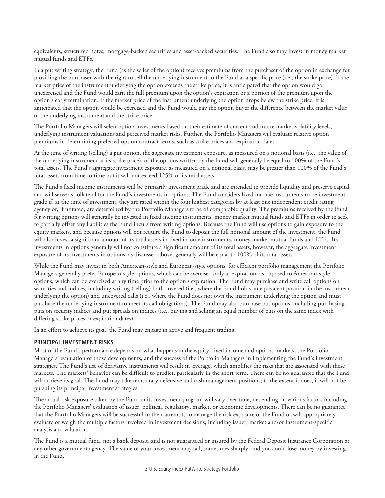equivalents, structured notes, mortgage-backed securities and asset-backed securities. The Fund also may invest in money market mutual funds and ETFs.

In a put writing strategy, the Fund (as the seller of the option) receives premiums from the purchaser of the option in exchange for providing the purchaser with the right to sell the underlying instrument to the Fund at a specific price (i.e., the strike price). If the market price of the instrument underlying the option exceeds the strike price, it is anticipated that the option would go unexercised and the Fund would earn the full premium upon the option's expiration or a portion of the premium upon the option's early termination. If the market price of the instrument underlying the option drops below the strike price, it is anticipated that the option would be exercised and the Fund would pay the option buyer the difference between the market value of the underlying instrument and the strike price.

The Portfolio Managers will select option investments based on their estimate of current and future market volatility levels, underlying instrument valuations and perceived market risks. Further, the Portfolio Managers will evaluate relative option premiums in determining preferred option contract terms, such as strike prices and expiration dates.

At the time of writing (selling) a put option, the aggregate investment exposure, as measured on a notional basis (i.e., the value of the underlying instrument at its strike price), of the options written by the Fund will generally be equal to 100% of the Fund's total assets. The Fund's aggregate investment exposure, as measured on a notional basis, may be greater than 100% of the Fund's total assets from time to time but it will not exceed 125% of its total assets.

The Fund's fixed income instruments will be primarily investment grade and are intended to provide liquidity and preserve capital and will serve as collateral for the Fund's investments in options. The Fund considers fixed income instruments to be investment grade if, at the time of investment, they are rated within the four highest categories by at least one independent credit rating agency or, if unrated, are determined by the Portfolio Managers to be of comparable quality. The premiums received by the Fund for writing options will generally be invested in fixed income instruments, money market mutual funds and ETFs in order to seek to partially offset any liabilities the Fund incurs from writing options. Because the Fund will use options to gain exposure to the equity markets, and because options will not require the Fund to deposit the full notional amount of the investment, the Fund will also invest a significant amount of its total assets in fixed income instruments, money market mutual funds and ETFs. Its investments in options generally will not constitute a significant amount of its total assets, however, the aggregate investment exposure of its investments in options, as discussed above, generally will be equal to 100% of its total assets.

While the Fund may invest in both American-style and European-style options, for efficient portfolio management the Portfolio Managers generally prefer European-style options, which can be exercised only at expiration, as opposed to American-style options, which can be exercised at any time prior to the option's expiration. The Fund may purchase and write call options on securities and indices, including writing (selling) both covered (i.e., where the Fund holds an equivalent position in the instrument underlying the option) and uncovered calls (i.e., where the Fund does not own the instrument underlying the option and must purchase the underlying instrument to meet its call obligations). The Fund may also purchase put options, including purchasing puts on security indices and put spreads on indices (i.e., buying and selling an equal number of puts on the same index with differing strike prices or expiration dates).

In an effort to achieve its goal, the Fund may engage in active and frequent trading.

### **PRINCIPAL INVESTMENT RISKS**

Most of the Fund's performance depends on what happens in the equity, fixed income and options markets, the Portfolio Managers' evaluation of those developments, and the success of the Portfolio Managers in implementing the Fund's investment strategies. The Fund's use of derivative instruments will result in leverage, which amplifies the risks that are associated with these markets. The markets' behavior can be difficult to predict, particularly in the short term. There can be no guarantee that the Fund will achieve its goal. The Fund may take temporary defensive and cash management positions; to the extent it does, it will not be pursuing its principal investment strategies.

The actual risk exposure taken by the Fund in its investment program will vary over time, depending on various factors including the Portfolio Managers' evaluation of issuer, political, regulatory, market, or economic developments. There can be no guarantee that the Portfolio Managers will be successful in their attempts to manage the risk exposure of the Fund or will appropriately evaluate or weigh the multiple factors involved in investment decisions, including issuer, market and/or instrument-specific analysis and valuation.

The Fund is a mutual fund, not a bank deposit, and is not guaranteed or insured by the Federal Deposit Insurance Corporation or any other government agency. The value of your investment may fall, sometimes sharply, and you could lose money by investing in the Fund.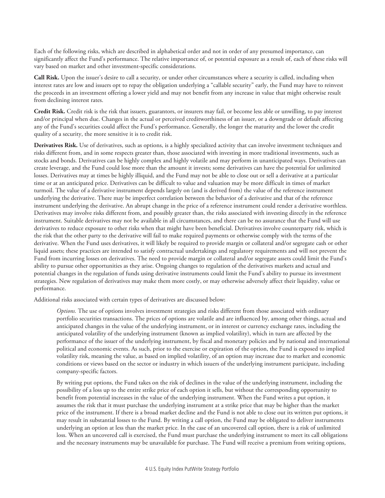Each of the following risks, which are described in alphabetical order and not in order of any presumed importance, can significantly affect the Fund's performance. The relative importance of, or potential exposure as a result of, each of these risks will vary based on market and other investment-specific considerations.

**Call Risk.** Upon the issuer's desire to call a security, or under other circumstances where a security is called, including when interest rates are low and issuers opt to repay the obligation underlying a "callable security" early, the Fund may have to reinvest the proceeds in an investment offering a lower yield and may not benefit from any increase in value that might otherwise result from declining interest rates.

**Credit Risk.** Credit risk is the risk that issuers, guarantors, or insurers may fail, or become less able or unwilling, to pay interest and/or principal when due. Changes in the actual or perceived creditworthiness of an issuer, or a downgrade or default affecting any of the Fund's securities could affect the Fund's performance. Generally, the longer the maturity and the lower the credit quality of a security, the more sensitive it is to credit risk.

**Derivatives Risk.** Use of derivatives, such as options, is a highly specialized activity that can involve investment techniques and risks different from, and in some respects greater than, those associated with investing in more traditional investments, such as stocks and bonds. Derivatives can be highly complex and highly volatile and may perform in unanticipated ways. Derivatives can create leverage, and the Fund could lose more than the amount it invests; some derivatives can have the potential for unlimited losses. Derivatives may at times be highly illiquid, and the Fund may not be able to close out or sell a derivative at a particular time or at an anticipated price. Derivatives can be difficult to value and valuation may be more difficult in times of market turmoil. The value of a derivative instrument depends largely on (and is derived from) the value of the reference instrument underlying the derivative. There may be imperfect correlation between the behavior of a derivative and that of the reference instrument underlying the derivative. An abrupt change in the price of a reference instrument could render a derivative worthless. Derivatives may involve risks different from, and possibly greater than, the risks associated with investing directly in the reference instrument. Suitable derivatives may not be available in all circumstances, and there can be no assurance that the Fund will use derivatives to reduce exposure to other risks when that might have been beneficial. Derivatives involve counterparty risk, which is the risk that the other party to the derivative will fail to make required payments or otherwise comply with the terms of the derivative. When the Fund uses derivatives, it will likely be required to provide margin or collateral and/or segregate cash or other liquid assets; these practices are intended to satisfy contractual undertakings and regulatory requirements and will not prevent the Fund from incurring losses on derivatives. The need to provide margin or collateral and/or segregate assets could limit the Fund's ability to pursue other opportunities as they arise. Ongoing changes to regulation of the derivatives markets and actual and potential changes in the regulation of funds using derivative instruments could limit the Fund's ability to pursue its investment strategies. New regulation of derivatives may make them more costly, or may otherwise adversely affect their liquidity, value or performance.

Additional risks associated with certain types of derivatives are discussed below:

*Options.* The use of options involves investment strategies and risks different from those associated with ordinary portfolio securities transactions. The prices of options are volatile and are influenced by, among other things, actual and anticipated changes in the value of the underlying instrument, or in interest or currency exchange rates, including the anticipated volatility of the underlying instrument (known as implied volatility), which in turn are affected by the performance of the issuer of the underlying instrument, by fiscal and monetary policies and by national and international political and economic events. As such, prior to the exercise or expiration of the option, the Fund is exposed to implied volatility risk, meaning the value, as based on implied volatility, of an option may increase due to market and economic conditions or views based on the sector or industry in which issuers of the underlying instrument participate, including company-specific factors.

By writing put options, the Fund takes on the risk of declines in the value of the underlying instrument, including the possibility of a loss up to the entire strike price of each option it sells, but without the corresponding opportunity to benefit from potential increases in the value of the underlying instrument. When the Fund writes a put option, it assumes the risk that it must purchase the underlying instrument at a strike price that may be higher than the market price of the instrument. If there is a broad market decline and the Fund is not able to close out its written put options, it may result in substantial losses to the Fund. By writing a call option, the Fund may be obligated to deliver instruments underlying an option at less than the market price. In the case of an uncovered call option, there is a risk of unlimited loss. When an uncovered call is exercised, the Fund must purchase the underlying instrument to meet its call obligations and the necessary instruments may be unavailable for purchase. The Fund will receive a premium from writing options,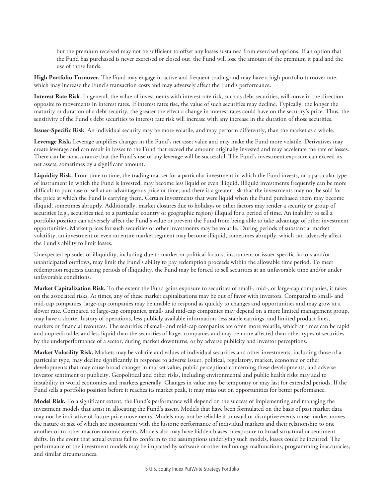but the premium received may not be sufficient to offset any losses sustained from exercised options. If an option that the Fund has purchased is never exercised or closed out, the Fund will lose the amount of the premium it paid and the use of those funds.

**High Portfolio Turnover.** The Fund may engage in active and frequent trading and may have a high portfolio turnover rate, which may increase the Fund's transaction costs and may adversely affect the Fund's performance.

**Interest Rate Risk**. In general, the value of investments with interest rate risk, such as debt securities, will move in the direction opposite to movements in interest rates. If interest rates rise, the value of such securities may decline. Typically, the longer the maturity or duration of a debt security, the greater the effect a change in interest rates could have on the security's price. Thus, the sensitivity of the Fund's debt securities to interest rate risk will increase with any increase in the duration of those securities.

**Issuer-Specific Risk**. An individual security may be more volatile, and may perform differently, than the market as a whole.

**Leverage Risk.** Leverage amplifies changes in the Fund's net asset value and may make the Fund more volatile. Derivatives may create leverage and can result in losses to the Fund that exceed the amount originally invested and may accelerate the rate of losses. There can be no assurance that the Fund's use of any leverage will be successful. The Fund's investment exposure can exceed its net assets, sometimes by a significant amount.

Liquidity Risk. From time to time, the trading market for a particular investment in which the Fund invests, or a particular type of instrument in which the Fund is invested, may become less liquid or even illiquid. Illiquid investments frequently can be more difficult to purchase or sell at an advantageous price or time, and there is a greater risk that the investments may not be sold for the price at which the Fund is carrying them. Certain investments that were liquid when the Fund purchased them may become illiquid, sometimes abruptly. Additionally, market closures due to holidays or other factors may render a security or group of securities (e.g., securities tied to a particular country or geographic region) illiquid for a period of time. An inability to sell a portfolio position can adversely affect the Fund's value or prevent the Fund from being able to take advantage of other investment opportunities. Market prices for such securities or other investments may be volatile. During periods of substantial market volatility, an investment or even an entire market segment may become illiquid, sometimes abruptly, which can adversely affect the Fund's ability to limit losses.

Unexpected episodes of illiquidity, including due to market or political factors, instrument or issuer-specific factors and/or unanticipated outflows, may limit the Fund's ability to pay redemption proceeds within the allowable time period. To meet redemption requests during periods of illiquidity, the Fund may be forced to sell securities at an unfavorable time and/or under unfavorable conditions.

**Market Capitalization Risk.** To the extent the Fund gains exposure to securities of small-, mid-, or large-cap companies, it takes on the associated risks. At times, any of these market capitalizations may be out of favor with investors. Compared to small- and mid-cap companies, large-cap companies may be unable to respond as quickly to changes and opportunities and may grow at a slower rate. Compared to large-cap companies, small- and mid-cap companies may depend on a more limited management group, may have a shorter history of operations, less publicly available information, less stable earnings, and limited product lines, markets or financial resources. The securities of small- and mid-cap companies are often more volatile, which at times can be rapid and unpredictable, and less liquid than the securities of larger companies and may be more affected than other types of securities by the underperformance of a sector, during market downturns, or by adverse publicity and investor perceptions.

**Market Volatility Risk.** Markets may be volatile and values of individual securities and other investments, including those of a particular type, may decline significantly in response to adverse issuer, political, regulatory, market, economic or other developments that may cause broad changes in market value, public perceptions concerning these developments, and adverse investor sentiment or publicity. Geopolitical and other risks, including environmental and public health risks may add to instability in world economies and markets generally. Changes in value may be temporary or may last for extended periods. If the Fund sells a portfolio position before it reaches its market peak, it may miss out on opportunities for better performance.

**Model Risk.** To a significant extent, the Fund's performance will depend on the success of implementing and managing the investment models that assist in allocating the Fund's assets. Models that have been formulated on the basis of past market data may not be indicative of future price movements. Models may not be reliable if unusual or disruptive events cause market moves the nature or size of which are inconsistent with the historic performance of individual markets and their relationship to one another or to other macroeconomic events. Models also may have hidden biases or exposure to broad structural or sentiment shifts. In the event that actual events fail to conform to the assumptions underlying such models, losses could be incurred. The performance of the investment models may be impacted by software or other technology malfunctions, programming inaccuracies, and similar circumstances.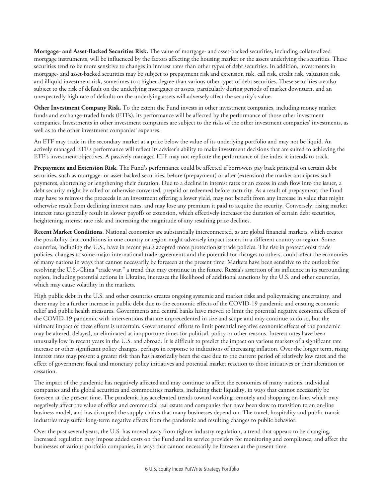**Mortgage- and Asset-Backed Securities Risk.** The value of mortgage- and asset-backed securities, including collateralized mortgage instruments, will be influenced by the factors affecting the housing market or the assets underlying the securities. These securities tend to be more sensitive to changes in interest rates than other types of debt securities. In addition, investments in mortgage- and asset-backed securities may be subject to prepayment risk and extension risk, call risk, credit risk, valuation risk, and illiquid investment risk, sometimes to a higher degree than various other types of debt securities. These securities are also subject to the risk of default on the underlying mortgages or assets, particularly during periods of market downturn, and an unexpectedly high rate of defaults on the underlying assets will adversely affect the security's value.

**Other Investment Company Risk.** To the extent the Fund invests in other investment companies, including money market funds and exchange-traded funds (ETFs), its performance will be affected by the performance of those other investment companies. Investments in other investment companies are subject to the risks of the other investment companies' investments, as well as to the other investment companies' expenses.

An ETF may trade in the secondary market at a price below the value of its underlying portfolio and may not be liquid. An actively managed ETF's performance will reflect its adviser's ability to make investment decisions that are suited to achieving the ETF's investment objectives. A passively managed ETF may not replicate the performance of the index it intends to track.

**Prepayment and Extension Risk**. The Fund's performance could be affected if borrowers pay back principal on certain debt securities, such as mortgage- or asset-backed securities, before (prepayment) or after (extension) the market anticipates such payments, shortening or lengthening their duration. Due to a decline in interest rates or an excess in cash flow into the issuer, a debt security might be called or otherwise converted, prepaid or redeemed before maturity. As a result of prepayment, the Fund may have to reinvest the proceeds in an investment offering a lower yield, may not benefit from any increase in value that might otherwise result from declining interest rates, and may lose any premium it paid to acquire the security. Conversely, rising market interest rates generally result in slower payoffs or extension, which effectively increases the duration of certain debt securities, heightening interest rate risk and increasing the magnitude of any resulting price declines.

**Recent Market Conditions**. National economies are substantially interconnected, as are global financial markets, which creates the possibility that conditions in one country or region might adversely impact issuers in a different country or region. Some countries, including the U.S., have in recent years adopted more protectionist trade policies. The rise in protectionist trade policies, changes to some major international trade agreements and the potential for changes to others, could affect the economies of many nations in ways that cannot necessarily be foreseen at the present time. Markets have been sensitive to the outlook for resolving the U.S.-China "trade war," a trend that may continue in the future. Russia's assertion of its influence in its surrounding region, including potential actions in Ukraine, increases the likelihood of additional sanctions by the U.S. and other countries, which may cause volatility in the markets.

High public debt in the U.S. and other countries creates ongoing systemic and market risks and policymaking uncertainty, and there may be a further increase in public debt due to the economic effects of the COVID-19 pandemic and ensuing economic relief and public health measures. Governments and central banks have moved to limit the potential negative economic effects of the COVID-19 pandemic with interventions that are unprecedented in size and scope and may continue to do so, but the ultimate impact of these efforts is uncertain. Governments' efforts to limit potential negative economic effects of the pandemic may be altered, delayed, or eliminated at inopportune times for political, policy or other reasons. Interest rates have been unusually low in recent years in the U.S. and abroad. It is difficult to predict the impact on various markets of a significant rate increase or other significant policy changes, perhaps in response to indications of increasing inflation. Over the longer term, rising interest rates may present a greater risk than has historically been the case due to the current period of relatively low rates and the effect of government fiscal and monetary policy initiatives and potential market reaction to those initiatives or their alteration or cessation.

The impact of the pandemic has negatively affected and may continue to affect the economies of many nations, individual companies and the global securities and commodities markets, including their liquidity, in ways that cannot necessarily be foreseen at the present time. The pandemic has accelerated trends toward working remotely and shopping on-line, which may negatively affect the value of office and commercial real estate and companies that have been slow to transition to an on-line business model, and has disrupted the supply chains that many businesses depend on. The travel, hospitality and public transit industries may suffer long-term negative effects from the pandemic and resulting changes to public behavior.

Over the past several years, the U.S. has moved away from tighter industry regulation, a trend that appears to be changing. Increased regulation may impose added costs on the Fund and its service providers for monitoring and compliance, and affect the businesses of various portfolio companies, in ways that cannot necessarily be foreseen at the present time.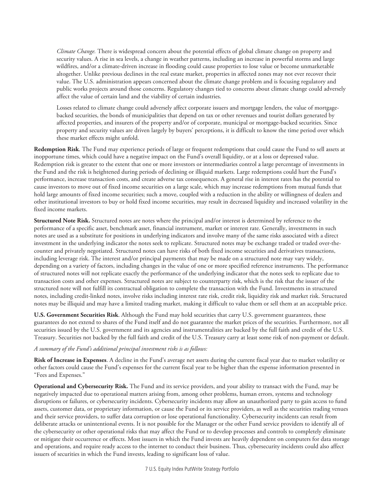*Climate Change.* There is widespread concern about the potential effects of global climate change on property and security values. A rise in sea levels, a change in weather patterns, including an increase in powerful storms and large wildfires, and/or a climate-driven increase in flooding could cause properties to lose value or become unmarketable altogether. Unlike previous declines in the real estate market, properties in affected zones may not ever recover their value. The U.S. administration appears concerned about the climate change problem and is focusing regulatory and public works projects around those concerns. Regulatory changes tied to concerns about climate change could adversely affect the value of certain land and the viability of certain industries.

Losses related to climate change could adversely affect corporate issuers and mortgage lenders, the value of mortgagebacked securities, the bonds of municipalities that depend on tax or other revenues and tourist dollars generated by affected properties, and insurers of the property and/or of corporate, municipal or mortgage-backed securities. Since property and security values are driven largely by buyers' perceptions, it is difficult to know the time period over which these market effects might unfold.

**Redemption Risk**. The Fund may experience periods of large or frequent redemptions that could cause the Fund to sell assets at inopportune times, which could have a negative impact on the Fund's overall liquidity, or at a loss or depressed value. Redemption risk is greater to the extent that one or more investors or intermediaries control a large percentage of investments in the Fund and the risk is heightened during periods of declining or illiquid markets. Large redemptions could hurt the Fund's performance, increase transaction costs, and create adverse tax consequences. A general rise in interest rates has the potential to cause investors to move out of fixed income securities on a large scale, which may increase redemptions from mutual funds that hold large amounts of fixed income securities; such a move, coupled with a reduction in the ability or willingness of dealers and other institutional investors to buy or hold fixed income securities, may result in decreased liquidity and increased volatility in the fixed income markets.

**Structured Note Risk.** Structured notes are notes where the principal and/or interest is determined by reference to the performance of a specific asset, benchmark asset, financial instrument, market or interest rate. Generally, investments in such notes are used as a substitute for positions in underlying indicators and involve many of the same risks associated with a direct investment in the underlying indicator the notes seek to replicate. Structured notes may be exchange traded or traded over-thecounter and privately negotiated. Structured notes can have risks of both fixed income securities and derivatives transactions, including leverage risk. The interest and/or principal payments that may be made on a structured note may vary widely, depending on a variety of factors, including changes in the value of one or more specified reference instruments. The performance of structured notes will not replicate exactly the performance of the underlying indicator that the notes seek to replicate due to transaction costs and other expenses. Structured notes are subject to counterparty risk, which is the risk that the issuer of the structured note will not fulfill its contractual obligation to complete the transaction with the Fund. Investments in structured notes, including credit-linked notes, involve risks including interest rate risk, credit risk, liquidity risk and market risk. Structured notes may be illiquid and may have a limited trading market, making it difficult to value them or sell them at an acceptable price.

**U.S. Government Securities Risk**. Although the Fund may hold securities that carry U.S. government guarantees, these guarantees do not extend to shares of the Fund itself and do not guarantee the market prices of the securities. Furthermore, not all securities issued by the U.S. government and its agencies and instrumentalities are backed by the full faith and credit of the U.S. Treasury. Securities not backed by the full faith and credit of the U.S. Treasury carry at least some risk of non-payment or default.

### *A summary of the Fund's additional principal investment risks is as follows:*

**Risk of Increase in Expenses**. A decline in the Fund's average net assets during the current fiscal year due to market volatility or other factors could cause the Fund's expenses for the current fiscal year to be higher than the expense information presented in "Fees and Expenses."

**Operational and Cybersecurity Risk.** The Fund and its service providers, and your ability to transact with the Fund, may be negatively impacted due to operational matters arising from, among other problems, human errors, systems and technology disruptions or failures, or cybersecurity incidents. Cybersecurity incidents may allow an unauthorized party to gain access to fund assets, customer data, or proprietary information, or cause the Fund or its service providers, as well as the securities trading venues and their service providers, to suffer data corruption or lose operational functionality. Cybersecurity incidents can result from deliberate attacks or unintentional events. It is not possible for the Manager or the other Fund service providers to identify all of the cybersecurity or other operational risks that may affect the Fund or to develop processes and controls to completely eliminate or mitigate their occurrence or effects. Most issuers in which the Fund invests are heavily dependent on computers for data storage and operations, and require ready access to the internet to conduct their business. Thus, cybersecurity incidents could also affect issuers of securities in which the Fund invests, leading to significant loss of value.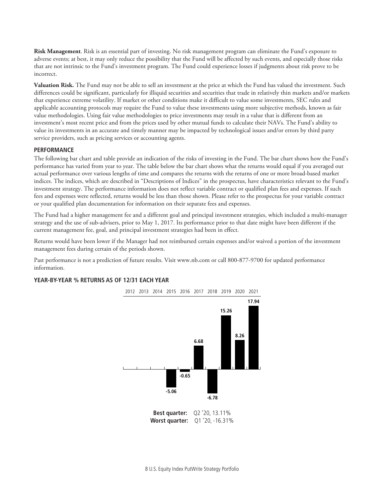**Risk Management**. Risk is an essential part of investing. No risk management program can eliminate the Fund's exposure to adverse events; at best, it may only reduce the possibility that the Fund will be affected by such events, and especially those risks that are not intrinsic to the Fund's investment program. The Fund could experience losses if judgments about risk prove to be incorrect.

**Valuation Risk.** The Fund may not be able to sell an investment at the price at which the Fund has valued the investment. Such differences could be significant, particularly for illiquid securities and securities that trade in relatively thin markets and/or markets that experience extreme volatility. If market or other conditions make it difficult to value some investments, SEC rules and applicable accounting protocols may require the Fund to value these investments using more subjective methods, known as fair value methodologies. Using fair value methodologies to price investments may result in a value that is different from an investment's most recent price and from the prices used by other mutual funds to calculate their NAVs. The Fund's ability to value its investments in an accurate and timely manner may be impacted by technological issues and/or errors by third party service providers, such as pricing services or accounting agents.

#### **PERFORMANCE**

The following bar chart and table provide an indication of the risks of investing in the Fund. The bar chart shows how the Fund's performance has varied from year to year. The table below the bar chart shows what the returns would equal if you averaged out actual performance over various lengths of time and compares the returns with the returns of one or more broad-based market indices. The indices, which are described in "Descriptions of Indices" in the prospectus, have characteristics relevant to the Fund's investment strategy. The performance information does not reflect variable contract or qualified plan fees and expenses. If such fees and expenses were reflected, returns would be less than those shown. Please refer to the prospectus for your variable contract or your qualified plan documentation for information on their separate fees and expenses.

The Fund had a higher management fee and a different goal and principal investment strategies, which included a multi-manager strategy and the use of sub-advisers, prior to May 1, 2017. Its performance prior to that date might have been different if the current management fee, goal, and principal investment strategies had been in effect.

Returns would have been lower if the Manager had not reimbursed certain expenses and/or waived a portion of the investment management fees during certain of the periods shown.

Past performance is not a prediction of future results. Visit www.nb.com or call 800-877-9700 for updated performance information.

### **YEAR-BY-YEAR % RETURNS AS OF 12/31 EACH YEAR**

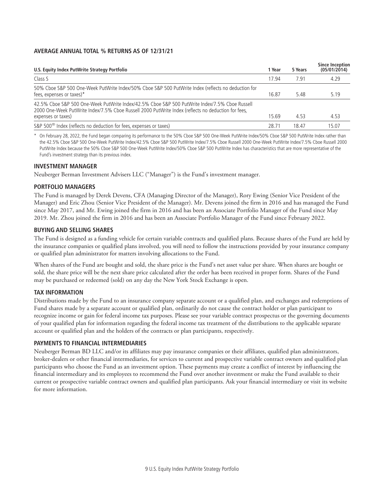### **AVERAGE ANNUAL TOTAL % RETURNS AS OF 12/31/21**

| U.S. Equity Index PutWrite Strategy Portfolio                                                                                                                                                                               | 1 Year            | 5 Years | <b>Since Inception</b><br>(05/01/2014) |
|-----------------------------------------------------------------------------------------------------------------------------------------------------------------------------------------------------------------------------|-------------------|---------|----------------------------------------|
| Class S                                                                                                                                                                                                                     | 17.94             | 7.91    | 4.29                                   |
| 50% Cboe S&P 500 One-Week PutWrite Index/50% Cboe S&P 500 PutWrite Index (reflects no deduction for<br>fees, expenses or taxes) $*$                                                                                         | 16.87             | 5.48    | 5.19                                   |
| 42.5% Cboe S&P 500 One-Week PutWrite Index/42.5% Cboe S&P 500 PutWrite Index/7.5% Cboe Russell<br>2000 One-Week PutWrite Index/7.5% Cboe Russell 2000 PutWrite Index (reflects no deduction for fees,<br>expenses or taxes) | 15.69             | 4.53    | 4.53                                   |
| S&P 500 <sup>®</sup> Index (reflects no deduction for fees, expenses or taxes)                                                                                                                                              | 28.7 <sup>′</sup> | 18.47   | 15.07                                  |

\* On February 28, 2022, the Fund began comparing its performance to the 50% Cboe S&P 500 One-Week PutWrite Index/50% Cboe S&P 500 PutWrite Index rather than the 42.5% Cboe S&P 500 One-Week PutWrite Index/42.5% Cboe S&P 500 PutWrite Index/7.5% Cboe Russell 2000 One-Week PutWrite Index/7.5% Cboe Russell 2000 PutWrite Index because the 50% Cboe S&P 500 One-Week PutWrite Index/50% Cboe S&P 500 PutWrite Index has characteristics that are more representative of the Fund's investment strategy than its previous index.

### **INVESTMENT MANAGER**

Neuberger Berman Investment Advisers LLC ("Manager") is the Fund's investment manager.

### **PORTFOLIO MANAGERS**

The Fund is managed by Derek Devens, CFA (Managing Director of the Manager), Rory Ewing (Senior Vice President of the Manager) and Eric Zhou (Senior Vice President of the Manager). Mr. Devens joined the firm in 2016 and has managed the Fund since May 2017, and Mr. Ewing joined the firm in 2016 and has been an Associate Portfolio Manager of the Fund since May 2019. Mr. Zhou joined the firm in 2016 and has been an Associate Portfolio Manager of the Fund since February 2022.

### **BUYING AND SELLING SHARES**

The Fund is designed as a funding vehicle for certain variable contracts and qualified plans. Because shares of the Fund are held by the insurance companies or qualified plans involved, you will need to follow the instructions provided by your insurance company or qualified plan administrator for matters involving allocations to the Fund.

When shares of the Fund are bought and sold, the share price is the Fund's net asset value per share. When shares are bought or sold, the share price will be the next share price calculated after the order has been received in proper form. Shares of the Fund may be purchased or redeemed (sold) on any day the New York Stock Exchange is open.

### **TAX INFORMATION**

Distributions made by the Fund to an insurance company separate account or a qualified plan, and exchanges and redemptions of Fund shares made by a separate account or qualified plan, ordinarily do not cause the contract holder or plan participant to recognize income or gain for federal income tax purposes. Please see your variable contract prospectus or the governing documents of your qualified plan for information regarding the federal income tax treatment of the distributions to the applicable separate account or qualified plan and the holders of the contracts or plan participants, respectively.

### **PAYMENTS TO FINANCIAL INTERMEDIARIES**

Neuberger Berman BD LLC and/or its affiliates may pay insurance companies or their affiliates, qualified plan administrators, broker-dealers or other financial intermediaries, for services to current and prospective variable contract owners and qualified plan participants who choose the Fund as an investment option. These payments may create a conflict of interest by influencing the financial intermediary and its employees to recommend the Fund over another investment or make the Fund available to their current or prospective variable contract owners and qualified plan participants. Ask your financial intermediary or visit its website for more information.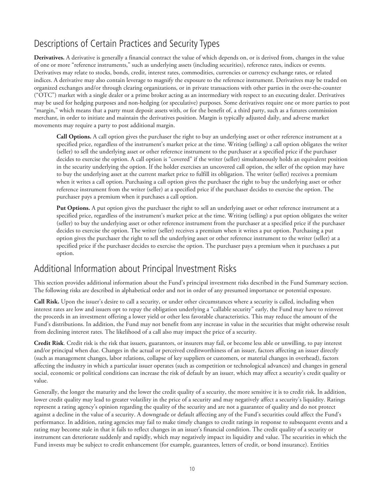# <span id="page-11-0"></span>Descriptions of Certain Practices and Security Types

**Derivatives.** A derivative is generally a financial contract the value of which depends on, or is derived from, changes in the value of one or more "reference instruments," such as underlying assets (including securities), reference rates, indices or events. Derivatives may relate to stocks, bonds, credit, interest rates, commodities, currencies or currency exchange rates, or related indices. A derivative may also contain leverage to magnify the exposure to the reference instrument. Derivatives may be traded on organized exchanges and/or through clearing organizations, or in private transactions with other parties in the over-the-counter ("OTC") market with a single dealer or a prime broker acting as an intermediary with respect to an executing dealer. Derivatives may be used for hedging purposes and non-hedging (or speculative) purposes. Some derivatives require one or more parties to post "margin," which means that a party must deposit assets with, or for the benefit of, a third party, such as a futures commission merchant, in order to initiate and maintain the derivatives position. Margin is typically adjusted daily, and adverse market movements may require a party to post additional margin.

**Call Options.** A call option gives the purchaser the right to buy an underlying asset or other reference instrument at a specified price, regardless of the instrument's market price at the time. Writing (selling) a call option obligates the writer (seller) to sell the underlying asset or other reference instrument to the purchaser at a specified price if the purchaser decides to exercise the option. A call option is "covered" if the writer (seller) simultaneously holds an equivalent position in the security underlying the option. If the holder exercises an uncovered call option, the seller of the option may have to buy the underlying asset at the current market price to fulfill its obligation. The writer (seller) receives a premium when it writes a call option. Purchasing a call option gives the purchaser the right to buy the underlying asset or other reference instrument from the writer (seller) at a specified price if the purchaser decides to exercise the option. The purchaser pays a premium when it purchases a call option.

**Put Options.** A put option gives the purchaser the right to sell an underlying asset or other reference instrument at a specified price, regardless of the instrument's market price at the time. Writing (selling) a put option obligates the writer (seller) to buy the underlying asset or other reference instrument from the purchaser at a specified price if the purchaser decides to exercise the option. The writer (seller) receives a premium when it writes a put option. Purchasing a put option gives the purchaser the right to sell the underlying asset or other reference instrument to the writer (seller) at a specified price if the purchaser decides to exercise the option. The purchaser pays a premium when it purchases a put option.

## Additional Information about Principal Investment Risks

This section provides additional information about the Fund's principal investment risks described in the Fund Summary section. The following risks are described in alphabetical order and not in order of any presumed importance or potential exposure.

**Call Risk.** Upon the issuer's desire to call a security, or under other circumstances where a security is called, including when interest rates are low and issuers opt to repay the obligation underlying a "callable security" early, the Fund may have to reinvest the proceeds in an investment offering a lower yield or other less favorable characteristics. This may reduce the amount of the Fund's distributions. In addition, the Fund may not benefit from any increase in value in the securities that might otherwise result from declining interest rates. The likelihood of a call also may impact the price of a security.

**Credit Risk**. Credit risk is the risk that issuers, guarantors, or insurers may fail, or become less able or unwilling, to pay interest and/or principal when due. Changes in the actual or perceived creditworthiness of an issuer, factors affecting an issuer directly (such as management changes, labor relations, collapse of key suppliers or customers, or material changes in overhead), factors affecting the industry in which a particular issuer operates (such as competition or technological advances) and changes in general social, economic or political conditions can increase the risk of default by an issuer, which may affect a security's credit quality or value.

Generally, the longer the maturity and the lower the credit quality of a security, the more sensitive it is to credit risk. In addition, lower credit quality may lead to greater volatility in the price of a security and may negatively affect a security's liquidity. Ratings represent a rating agency's opinion regarding the quality of the security and are not a guarantee of quality and do not protect against a decline in the value of a security. A downgrade or default affecting any of the Fund's securities could affect the Fund's performance. In addition, rating agencies may fail to make timely changes to credit ratings in response to subsequent events and a rating may become stale in that it fails to reflect changes in an issuer's financial condition. The credit quality of a security or instrument can deteriorate suddenly and rapidly, which may negatively impact its liquidity and value. The securities in which the Fund invests may be subject to credit enhancement (for example, guarantees, letters of credit, or bond insurance). Entities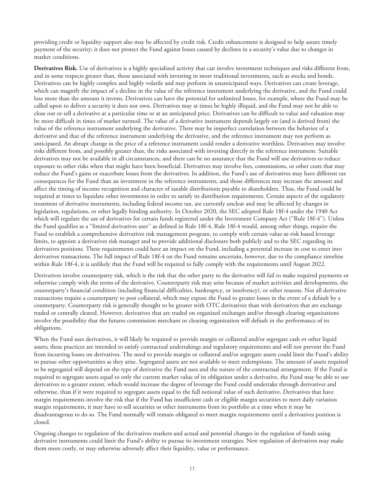providing credit or liquidity support also may be affected by credit risk. Credit enhancement is designed to help assure timely payment of the security; it does not protect the Fund against losses caused by declines in a security's value due to changes in market conditions.

**Derivatives Risk.** Use of derivatives is a highly specialized activity that can involve investment techniques and risks different from, and in some respects greater than, those associated with investing in more traditional investments, such as stocks and bonds. Derivatives can be highly complex and highly volatile and may perform in unanticipated ways. Derivatives can create leverage, which can magnify the impact of a decline in the value of the reference instrument underlying the derivative, and the Fund could lose more than the amount it invests. Derivatives can have the potential for unlimited losses, for example, where the Fund may be called upon to deliver a security it does not own. Derivatives may at times be highly illiquid, and the Fund may not be able to close out or sell a derivative at a particular time or at an anticipated price. Derivatives can be difficult to value and valuation may be more difficult in times of market turmoil. The value of a derivative instrument depends largely on (and is derived from) the value of the reference instrument underlying the derivative. There may be imperfect correlation between the behavior of a derivative and that of the reference instrument underlying the derivative, and the reference instrument may not perform as anticipated. An abrupt change in the price of a reference instrument could render a derivative worthless. Derivatives may involve risks different from, and possibly greater than, the risks associated with investing directly in the reference instrument. Suitable derivatives may not be available in all circumstances, and there can be no assurance that the Fund will use derivatives to reduce exposure to other risks when that might have been beneficial. Derivatives may involve fees, commissions, or other costs that may reduce the Fund's gains or exacerbate losses from the derivatives. In addition, the Fund's use of derivatives may have different tax consequences for the Fund than an investment in the reference instruments, and those differences may increase the amount and affect the timing of income recognition and character of taxable distributions payable to shareholders. Thus, the Fund could be required at times to liquidate other investments in order to satisfy its distribution requirements. Certain aspects of the regulatory treatment of derivative instruments, including federal income tax, are currently unclear and may be affected by changes in legislation, regulations, or other legally binding authority. In October 2020, the SEC adopted Rule 18f-4 under the 1940 Act which will regulate the use of derivatives for certain funds registered under the Investment Company Act (''Rule 18f-4''). Unless the Fund qualifies as a ''limited derivatives user'' as defined in Rule 18f-4, Rule 18f-4 would, among other things, require the Fund to establish a comprehensive derivatives risk management program, to comply with certain value-at-risk based leverage limits, to appoint a derivatives risk manager and to provide additional disclosure both publicly and to the SEC regarding its derivatives positions. These requirements could have an impact on the Fund, including a potential increase in cost to enter into derivatives transactions. The full impact of Rule 18f-4 on the Fund remains uncertain, however, due to the compliance timeline within Rule 18f-4, it is unlikely that the Fund will be required to fully comply with the requirements until August 2022.

Derivatives involve counterparty risk, which is the risk that the other party to the derivative will fail to make required payments or otherwise comply with the terms of the derivative. Counterparty risk may arise because of market activities and developments, the counterparty's financial condition (including financial difficulties, bankruptcy, or insolvency), or other reasons. Not all derivative transactions require a counterparty to post collateral, which may expose the Fund to greater losses in the event of a default by a counterparty. Counterparty risk is generally thought to be greater with OTC derivatives than with derivatives that are exchange traded or centrally cleared. However, derivatives that are traded on organized exchanges and/or through clearing organizations involve the possibility that the futures commission merchant or clearing organization will default in the performance of its obligations.

When the Fund uses derivatives, it will likely be required to provide margin or collateral and/or segregate cash or other liquid assets; these practices are intended to satisfy contractual undertakings and regulatory requirements and will not prevent the Fund from incurring losses on derivatives. The need to provide margin or collateral and/or segregate assets could limit the Fund's ability to pursue other opportunities as they arise. Segregated assets are not available to meet redemptions. The amount of assets required to be segregated will depend on the type of derivative the Fund uses and the nature of the contractual arrangement. If the Fund is required to segregate assets equal to only the current market value of its obligation under a derivative, the Fund may be able to use derivatives to a greater extent, which would increase the degree of leverage the Fund could undertake through derivatives and otherwise, than if it were required to segregate assets equal to the full notional value of such derivative. Derivatives that have margin requirements involve the risk that if the Fund has insufficient cash or eligible margin securities to meet daily variation margin requirements, it may have to sell securities or other instruments from its portfolio at a time when it may be disadvantageous to do so. The Fund normally will remain obligated to meet margin requirements until a derivatives position is closed.

Ongoing changes to regulation of the derivatives markets and actual and potential changes in the regulation of funds using derivative instruments could limit the Fund's ability to pursue its investment strategies. New regulation of derivatives may make them more costly, or may otherwise adversely affect their liquidity, value or performance.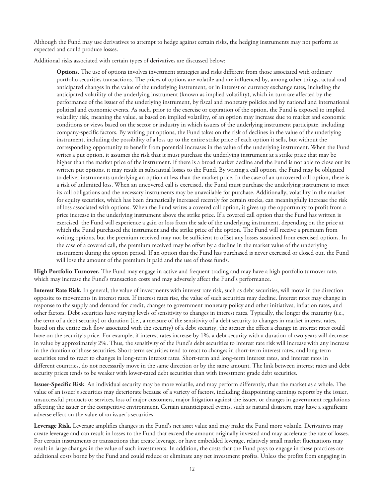Although the Fund may use derivatives to attempt to hedge against certain risks, the hedging instruments may not perform as expected and could produce losses.

Additional risks associated with certain types of derivatives are discussed below:

**Options.** The use of options involves investment strategies and risks different from those associated with ordinary portfolio securities transactions. The prices of options are volatile and are influenced by, among other things, actual and anticipated changes in the value of the underlying instrument, or in interest or currency exchange rates, including the anticipated volatility of the underlying instrument (known as implied volatility), which in turn are affected by the performance of the issuer of the underlying instrument, by fiscal and monetary policies and by national and international political and economic events. As such, prior to the exercise or expiration of the option, the Fund is exposed to implied volatility risk, meaning the value, as based on implied volatility, of an option may increase due to market and economic conditions or views based on the sector or industry in which issuers of the underlying instrument participate, including company-specific factors. By writing put options, the Fund takes on the risk of declines in the value of the underlying instrument, including the possibility of a loss up to the entire strike price of each option it sells, but without the corresponding opportunity to benefit from potential increases in the value of the underlying instrument. When the Fund writes a put option, it assumes the risk that it must purchase the underlying instrument at a strike price that may be higher than the market price of the instrument. If there is a broad market decline and the Fund is not able to close out its written put options, it may result in substantial losses to the Fund. By writing a call option, the Fund may be obligated to deliver instruments underlying an option at less than the market price. In the case of an uncovered call option, there is a risk of unlimited loss. When an uncovered call is exercised, the Fund must purchase the underlying instrument to meet its call obligations and the necessary instruments may be unavailable for purchase. Additionally, volatility in the market for equity securities, which has been dramatically increased recently for certain stocks, can meaningfully increase the risk of loss associated with options. When the Fund writes a covered call option, it gives up the opportunity to profit from a price increase in the underlying instrument above the strike price. If a covered call option that the Fund has written is exercised, the Fund will experience a gain or loss from the sale of the underlying instrument, depending on the price at which the Fund purchased the instrument and the strike price of the option. The Fund will receive a premium from writing options, but the premium received may not be sufficient to offset any losses sustained from exercised options. In the case of a covered call, the premium received may be offset by a decline in the market value of the underlying instrument during the option period. If an option that the Fund has purchased is never exercised or closed out, the Fund will lose the amount of the premium it paid and the use of those funds.

**High Portfolio Turnover.** The Fund may engage in active and frequent trading and may have a high portfolio turnover rate, which may increase the Fund's transaction costs and may adversely affect the Fund's performance.

**Interest Rate Risk.** In general, the value of investments with interest rate risk, such as debt securities, will move in the direction opposite to movements in interest rates. If interest rates rise, the value of such securities may decline. Interest rates may change in response to the supply and demand for credit, changes to government monetary policy and other initiatives, inflation rates, and other factors. Debt securities have varying levels of sensitivity to changes in interest rates. Typically, the longer the maturity (i.e., the term of a debt security) or duration (i.e., a measure of the sensitivity of a debt security to changes in market interest rates, based on the entire cash flow associated with the security) of a debt security, the greater the effect a change in interest rates could have on the security's price. For example, if interest rates increase by 1%, a debt security with a duration of two years will decrease in value by approximately 2%. Thus, the sensitivity of the Fund's debt securities to interest rate risk will increase with any increase in the duration of those securities. Short-term securities tend to react to changes in short-term interest rates, and long-term securities tend to react to changes in long-term interest rates. Short-term and long-term interest rates, and interest rates in different countries, do not necessarily move in the same direction or by the same amount. The link between interest rates and debt security prices tends to be weaker with lower-rated debt securities than with investment grade debt securities.

**Issuer-Specific Risk**. An individual security may be more volatile, and may perform differently, than the market as a whole. The value of an issuer's securities may deteriorate because of a variety of factors, including disappointing earnings reports by the issuer, unsuccessful products or services, loss of major customers, major litigation against the issuer, or changes in government regulations affecting the issuer or the competitive environment. Certain unanticipated events, such as natural disasters, may have a significant adverse effect on the value of an issuer's securities.

**Leverage Risk.** Leverage amplifies changes in the Fund's net asset value and may make the Fund more volatile. Derivatives may create leverage and can result in losses to the Fund that exceed the amount originally invested and may accelerate the rate of losses. For certain instruments or transactions that create leverage, or have embedded leverage, relatively small market fluctuations may result in large changes in the value of such investments. In addition, the costs that the Fund pays to engage in these practices are additional costs borne by the Fund and could reduce or eliminate any net investment profits. Unless the profits from engaging in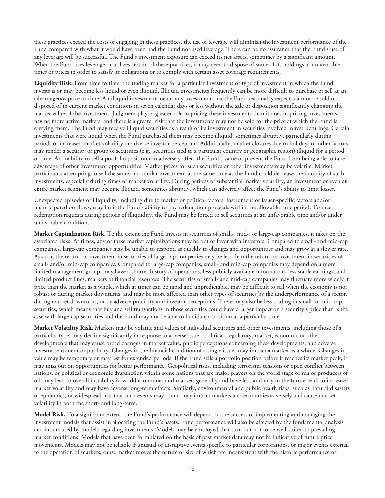these practices exceed the costs of engaging in these practices, the use of leverage will diminish the investment performance of the Fund compared with what it would have been had the Fund not used leverage. There can be no assurance that the Fund's use of any leverage will be successful. The Fund's investment exposure can exceed its net assets, sometimes by a significant amount. When the Fund uses leverage or utilizes certain of these practices, it may need to dispose of some of its holdings at unfavorable times or prices in order to satisfy its obligations or to comply with certain asset coverage requirements.

**Liquidity Risk.** From time to time, the trading market for a particular investment or type of investment in which the Fund invests is or may become less liquid or even illiquid. Illiquid investments frequently can be more difficult to purchase or sell at an advantageous price or time. An illiquid investment means any investment that the Fund reasonably expects cannot be sold or disposed of in current market conditions in seven calendar days or less without the sale or disposition significantly changing the market value of the investment. Judgment plays a greater role in pricing these investments than it does in pricing investments having more active markets, and there is a greater risk that the investments may not be sold for the price at which the Fund is carrying them. The Fund may receive illiquid securities as a result of its investment in securities involved in restructurings. Certain investments that were liquid when the Fund purchased them may become illiquid, sometimes abruptly, particularly during periods of increased market volatility or adverse investor perception. Additionally, market closures due to holidays or other factors may render a security or group of securities (e.g., securities tied to a particular country or geographic region) illiquid for a period of time. An inability to sell a portfolio position can adversely affect the Fund's value or prevent the Fund from being able to take advantage of other investment opportunities. Market prices for such securities or other investments may be volatile. Market participants attempting to sell the same or a similar investment at the same time as the Fund could decrease the liquidity of such investments, especially during times of market volatility. During periods of substantial market volatility, an investment or even an entire market segment may become illiquid, sometimes abruptly, which can adversely affect the Fund's ability to limit losses.

Unexpected episodes of illiquidity, including due to market or political factors, instrument or issuer-specific factors and/or unanticipated outflows, may limit the Fund's ability to pay redemption proceeds within the allowable time period. To meet redemption requests during periods of illiquidity, the Fund may be forced to sell securities at an unfavorable time and/or under unfavorable conditions.

**Market Capitalization Risk**. To the extent the Fund invests in securities of small-, mid-, or large-cap companies, it takes on the associated risks. At times, any of these market capitalizations may be out of favor with investors. Compared to small- and mid-cap companies, large-cap companies may be unable to respond as quickly to changes and opportunities and may grow at a slower rate. As such, the return on investment in securities of large-cap companies may be less than the return on investment in securities of small- and/or mid-cap companies. Compared to large-cap companies, small- and mid-cap companies may depend on a more limited management group, may have a shorter history of operations, less publicly available information, less stable earnings, and limited product lines, markets or financial resources. The securities of small- and mid-cap companies may fluctuate more widely in price than the market as a whole, which at times can be rapid and unpredictable, may be difficult to sell when the economy is not robust or during market downturns, and may be more affected than other types of securities by the underperformance of a sector, during market downturns, or by adverse publicity and investor perceptions. There may also be less trading in small- or mid-cap securities, which means that buy and sell transactions in those securities could have a larger impact on a security's price than is the case with large-cap securities and the Fund may not be able to liquidate a position at a particular time.

**Market Volatility Risk**. Markets may be volatile and values of individual securities and other investments, including those of a particular type, may decline significantly in response to adverse issuer, political, regulatory, market, economic or other developments that may cause broad changes in market value, public perceptions concerning these developments, and adverse investor sentiment or publicity. Changes in the financial condition of a single issuer may impact a market as a whole. Changes in value may be temporary or may last for extended periods. If the Fund sells a portfolio position before it reaches its market peak, it may miss out on opportunities for better performance. Geopolitical risks, including terrorism, tensions or open conflict between nations, or political or economic dysfunction within some nations that are major players on the world stage or major producers of oil, may lead to overall instability in world economies and markets generally and have led, and may in the future lead, to increased market volatility and may have adverse long-term effects. Similarly, environmental and public health risks, such as natural disasters or epidemics, or widespread fear that such events may occur, may impact markets and economies adversely and cause market volatility in both the short- and long-term.

**Model Risk.** To a significant extent, the Fund's performance will depend on the success of implementing and managing the investment models that assist in allocating the Fund's assets. Fund performance will also be affected by the fundamental analysis and inputs used by models regarding investments. Models may be employed that turn out not to be well-suited to prevailing market conditions. Models that have been formulated on the basis of past market data may not be indicative of future price movements. Models may not be reliable if unusual or disruptive events specific to particular corporations, or major events external to the operation of markets, cause market moves the nature or size of which are inconsistent with the historic performance of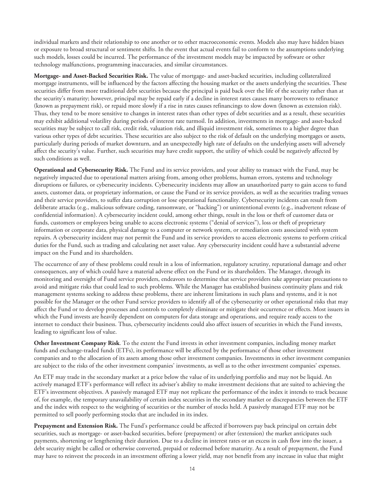individual markets and their relationship to one another or to other macroeconomic events. Models also may have hidden biases or exposure to broad structural or sentiment shifts. In the event that actual events fail to conform to the assumptions underlying such models, losses could be incurred. The performance of the investment models may be impacted by software or other technology malfunctions, programming inaccuracies, and similar circumstances.

**Mortgage- and Asset-Backed Securities Risk.** The value of mortgage- and asset-backed securities, including collateralized mortgage instruments, will be influenced by the factors affecting the housing market or the assets underlying the securities. These securities differ from more traditional debt securities because the principal is paid back over the life of the security rather than at the security's maturity; however, principal may be repaid early if a decline in interest rates causes many borrowers to refinance (known as prepayment risk), or repaid more slowly if a rise in rates causes refinancings to slow down (known as extension risk). Thus, they tend to be more sensitive to changes in interest rates than other types of debt securities and as a result, these securities may exhibit additional volatility during periods of interest rate turmoil. In addition, investments in mortgage- and asset-backed securities may be subject to call risk, credit risk, valuation risk, and illiquid investment risk, sometimes to a higher degree than various other types of debt securities. These securities are also subject to the risk of default on the underlying mortgages or assets, particularly during periods of market downturn, and an unexpectedly high rate of defaults on the underlying assets will adversely affect the security's value. Further, such securities may have credit support, the utility of which could be negatively affected by such conditions as well.

**Operational and Cybersecurity Risk.** The Fund and its service providers, and your ability to transact with the Fund, may be negatively impacted due to operational matters arising from, among other problems, human errors, systems and technology disruptions or failures, or cybersecurity incidents. Cybersecurity incidents may allow an unauthorized party to gain access to fund assets, customer data, or proprietary information, or cause the Fund or its service providers, as well as the securities trading venues and their service providers, to suffer data corruption or lose operational functionality. Cybersecurity incidents can result from deliberate attacks (e.g., malicious software coding, ransomware, or "hacking") or unintentional events (e.g., inadvertent release of confidential information). A cybersecurity incident could, among other things, result in the loss or theft of customer data or funds, customers or employees being unable to access electronic systems ("denial of services"), loss or theft of proprietary information or corporate data, physical damage to a computer or network system, or remediation costs associated with system repairs. A cybersecurity incident may not permit the Fund and its service providers to access electronic systems to perform critical duties for the Fund, such as trading and calculating net asset value. Any cybersecurity incident could have a substantial adverse impact on the Fund and its shareholders.

The occurrence of any of these problems could result in a loss of information, regulatory scrutiny, reputational damage and other consequences, any of which could have a material adverse effect on the Fund or its shareholders. The Manager, through its monitoring and oversight of Fund service providers, endeavors to determine that service providers take appropriate precautions to avoid and mitigate risks that could lead to such problems. While the Manager has established business continuity plans and risk management systems seeking to address these problems, there are inherent limitations in such plans and systems, and it is not possible for the Manager or the other Fund service providers to identify all of the cybersecurity or other operational risks that may affect the Fund or to develop processes and controls to completely eliminate or mitigate their occurrence or effects. Most issuers in which the Fund invests are heavily dependent on computers for data storage and operations, and require ready access to the internet to conduct their business. Thus, cybersecurity incidents could also affect issuers of securities in which the Fund invests, leading to significant loss of value.

**Other Investment Company Risk**. To the extent the Fund invests in other investment companies, including money market funds and exchange-traded funds (ETFs), its performance will be affected by the performance of those other investment companies and to the allocation of its assets among those other investment companies. Investments in other investment companies are subject to the risks of the other investment companies' investments, as well as to the other investment companies' expenses.

An ETF may trade in the secondary market at a price below the value of its underlying portfolio and may not be liquid. An actively managed ETF's performance will reflect its adviser's ability to make investment decisions that are suited to achieving the ETF's investment objectives. A passively managed ETF may not replicate the performance of the index it intends to track because of, for example, the temporary unavailability of certain index securities in the secondary market or discrepancies between the ETF and the index with respect to the weighting of securities or the number of stocks held. A passively managed ETF may not be permitted to sell poorly performing stocks that are included in its index.

**Prepayment and Extension Risk.** The Fund's performance could be affected if borrowers pay back principal on certain debt securities, such as mortgage- or asset-backed securities, before (prepayment) or after (extension) the market anticipates such payments, shortening or lengthening their duration. Due to a decline in interest rates or an excess in cash flow into the issuer, a debt security might be called or otherwise converted, prepaid or redeemed before maturity. As a result of prepayment, the Fund may have to reinvest the proceeds in an investment offering a lower yield, may not benefit from any increase in value that might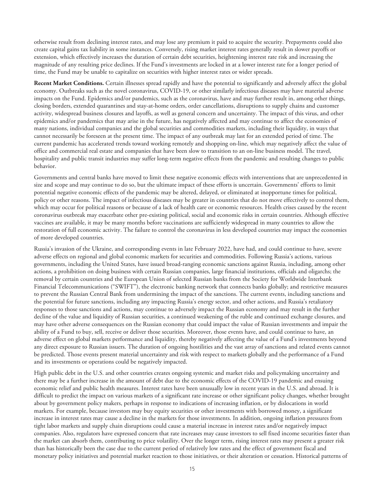otherwise result from declining interest rates, and may lose any premium it paid to acquire the security. Prepayments could also create capital gains tax liability in some instances. Conversely, rising market interest rates generally result in slower payoffs or extension, which effectively increases the duration of certain debt securities, heightening interest rate risk and increasing the magnitude of any resulting price declines. If the Fund's investments are locked in at a lower interest rate for a longer period of time, the Fund may be unable to capitalize on securities with higher interest rates or wider spreads.

**Recent Market Conditions.** Certain illnesses spread rapidly and have the potential to significantly and adversely affect the global economy. Outbreaks such as the novel coronavirus, COVID-19, or other similarly infectious diseases may have material adverse impacts on the Fund. Epidemics and/or pandemics, such as the coronavirus, have and may further result in, among other things, closing borders, extended quarantines and stay-at-home orders, order cancellations, disruptions to supply chains and customer activity, widespread business closures and layoffs, as well as general concern and uncertainty. The impact of this virus, and other epidemics and/or pandemics that may arise in the future, has negatively affected and may continue to affect the economies of many nations, individual companies and the global securities and commodities markets, including their liquidity, in ways that cannot necessarily be foreseen at the present time. The impact of any outbreak may last for an extended period of time. The current pandemic has accelerated trends toward working remotely and shopping on-line, which may negatively affect the value of office and commercial real estate and companies that have been slow to transition to an on-line business model. The travel, hospitality and public transit industries may suffer long-term negative effects from the pandemic and resulting changes to public behavior.

Governments and central banks have moved to limit these negative economic effects with interventions that are unprecedented in size and scope and may continue to do so, but the ultimate impact of these efforts is uncertain. Governments' efforts to limit potential negative economic effects of the pandemic may be altered, delayed, or eliminated at inopportune times for political, policy or other reasons. The impact of infectious diseases may be greater in countries that do not move effectively to control them, which may occur for political reasons or because of a lack of health care or economic resources. Health crises caused by the recent coronavirus outbreak may exacerbate other pre-existing political, social and economic risks in certain countries. Although effective vaccines are available, it may be many months before vaccinations are sufficiently widespread in many countries to allow the restoration of full economic activity. The failure to control the coronavirus in less developed countries may impact the economies of more developed countries.

Russia's invasion of the Ukraine, and corresponding events in late February 2022, have had, and could continue to have, severe adverse effects on regional and global economic markets for securities and commodities. Following Russia's actions, various governments, including the United States, have issued broad-ranging economic sanctions against Russia, including, among other actions, a prohibition on doing business with certain Russian companies, large financial institutions, officials and oligarchs; the removal by certain countries and the European Union of selected Russian banks from the Society for Worldwide Interbank Financial Telecommunications ("SWIFT"), the electronic banking network that connects banks globally; and restrictive measures to prevent the Russian Central Bank from undermining the impact of the sanctions. The current events, including sanctions and the potential for future sanctions, including any impacting Russia's energy sector, and other actions, and Russia's retaliatory responses to those sanctions and actions, may continue to adversely impact the Russian economy and may result in the further decline of the value and liquidity of Russian securities, a continued weakening of the ruble and continued exchange closures, and may have other adverse consequences on the Russian economy that could impact the value of Russian investments and impair the ability of a Fund to buy, sell, receive or deliver those securities. Moreover, those events have, and could continue to have, an adverse effect on global markets performance and liquidity, thereby negatively affecting the value of a Fund's investments beyond any direct exposure to Russian issuers. The duration of ongoing hostilities and the vast array of sanctions and related events cannot be predicted. Those events present material uncertainty and risk with respect to markets globally and the performance of a Fund and its investments or operations could be negatively impacted.

High public debt in the U.S. and other countries creates ongoing systemic and market risks and policymaking uncertainty and there may be a further increase in the amount of debt due to the economic effects of the COVID-19 pandemic and ensuing economic relief and public health measures. Interest rates have been unusually low in recent years in the U.S. and abroad. It is difficult to predict the impact on various markets of a significant rate increase or other significant policy changes, whether brought about by government policy makers, perhaps in response to indications of increasing inflation, or by dislocations in world markets. For example, because investors may buy equity securities or other investments with borrowed money, a significant increase in interest rates may cause a decline in the markets for those investments. In addition, ongoing inflation pressures from tight labor markets and supply chain disruptions could cause a material increase in interest rates and/or negatively impact companies. Also, regulators have expressed concern that rate increases may cause investors to sell fixed income securities faster than the market can absorb them, contributing to price volatility. Over the longer term, rising interest rates may present a greater risk than has historically been the case due to the current period of relatively low rates and the effect of government fiscal and monetary policy initiatives and potential market reaction to those initiatives, or their alteration or cessation. Historical patterns of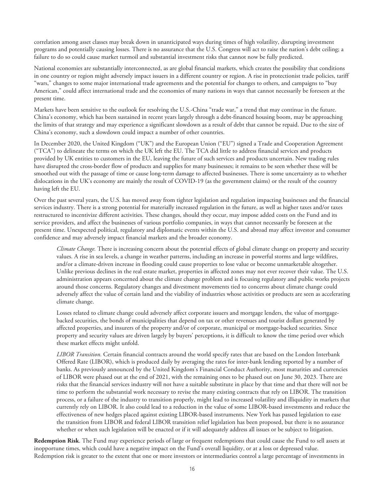correlation among asset classes may break down in unanticipated ways during times of high volatility, disrupting investment programs and potentially causing losses. There is no assurance that the U.S. Congress will act to raise the nation's debt ceiling; a failure to do so could cause market turmoil and substantial investment risks that cannot now be fully predicted.

National economies are substantially interconnected, as are global financial markets, which creates the possibility that conditions in one country or region might adversely impact issuers in a different country or region. A rise in protectionist trade policies, tariff "wars," changes to some major international trade agreements and the potential for changes to others, and campaigns to "buy American," could affect international trade and the economies of many nations in ways that cannot necessarily be foreseen at the present time.

Markets have been sensitive to the outlook for resolving the U.S.-China "trade war," a trend that may continue in the future. China's economy, which has been sustained in recent years largely through a debt-financed housing boom, may be approaching the limits of that strategy and may experience a significant slowdown as a result of debt that cannot be repaid. Due to the size of China's economy, such a slowdown could impact a number of other countries.

In December 2020, the United Kingdom ("UK") and the European Union ("EU") signed a Trade and Cooperation Agreement ("TCA") to delineate the terms on which the UK left the EU. The TCA did little to address financial services and products provided by UK entities to customers in the EU, leaving the future of such services and products uncertain. New trading rules have disrupted the cross-border flow of products and supplies for many businesses; it remains to be seen whether these will be smoothed out with the passage of time or cause long-term damage to affected businesses. There is some uncertainty as to whether dislocations in the UK's economy are mainly the result of COVID-19 (as the government claims) or the result of the country having left the EU.

Over the past several years, the U.S. has moved away from tighter legislation and regulation impacting businesses and the financial services industry. There is a strong potential for materially increased regulation in the future, as well as higher taxes and/or taxes restructured to incentivize different activities. These changes, should they occur, may impose added costs on the Fund and its service providers, and affect the businesses of various portfolio companies, in ways that cannot necessarily be foreseen at the present time. Unexpected political, regulatory and diplomatic events within the U.S. and abroad may affect investor and consumer confidence and may adversely impact financial markets and the broader economy.

*Climate Change.* There is increasing concern about the potential effects of global climate change on property and security values. A rise in sea levels, a change in weather patterns, including an increase in powerful storms and large wildfires, and/or a climate-driven increase in flooding could cause properties to lose value or become unmarketable altogether. Unlike previous declines in the real estate market, properties in affected zones may not ever recover their value. The U.S. administration appears concerned about the climate change problem and is focusing regulatory and public works projects around those concerns. Regulatory changes and divestment movements tied to concerns about climate change could adversely affect the value of certain land and the viability of industries whose activities or products are seen as accelerating climate change.

Losses related to climate change could adversely affect corporate issuers and mortgage lenders, the value of mortgagebacked securities, the bonds of municipalities that depend on tax or other revenues and tourist dollars generated by affected properties, and insurers of the property and/or of corporate, municipal or mortgage-backed securities. Since property and security values are driven largely by buyers' perceptions, it is difficult to know the time period over which these market effects might unfold.

*LIBOR Transition.* Certain financial contracts around the world specify rates that are based on the London Interbank Offered Rate (LIBOR), which is produced daily by averaging the rates for inter-bank lending reported by a number of banks. As previously announced by the United Kingdom's Financial Conduct Authority, most maturities and currencies of LIBOR were phased out at the end of 2021, with the remaining ones to be phased out on June 30, 2023. There are risks that the financial services industry will not have a suitable substitute in place by that time and that there will not be time to perform the substantial work necessary to revise the many existing contracts that rely on LIBOR. The transition process, or a failure of the industry to transition properly, might lead to increased volatility and illiquidity in markets that currently rely on LIBOR. It also could lead to a reduction in the value of some LIBOR-based investments and reduce the effectiveness of new hedges placed against existing LIBOR-based instruments. New York has passed legislation to ease the transition from LIBOR and federal LIBOR transition relief legislation has been proposed, but there is no assurance whether or when such legislation will be enacted or if it will adequately address all issues or be subject to litigation.

**Redemption Risk**. The Fund may experience periods of large or frequent redemptions that could cause the Fund to sell assets at inopportune times, which could have a negative impact on the Fund's overall liquidity, or at a loss or depressed value. Redemption risk is greater to the extent that one or more investors or intermediaries control a large percentage of investments in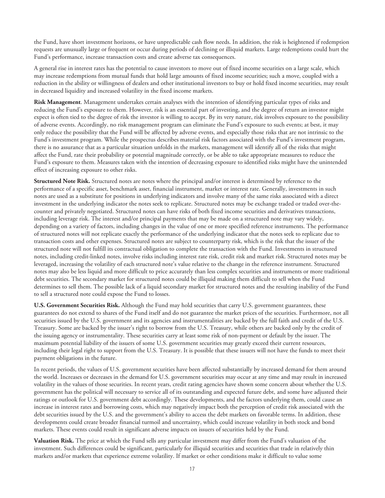the Fund, have short investment horizons, or have unpredictable cash flow needs. In addition, the risk is heightened if redemption requests are unusually large or frequent or occur during periods of declining or illiquid markets. Large redemptions could hurt the Fund's performance, increase transaction costs and create adverse tax consequences.

A general rise in interest rates has the potential to cause investors to move out of fixed income securities on a large scale, which may increase redemptions from mutual funds that hold large amounts of fixed income securities; such a move, coupled with a reduction in the ability or willingness of dealers and other institutional investors to buy or hold fixed income securities, may result in decreased liquidity and increased volatility in the fixed income markets.

**Risk Management**. Management undertakes certain analyses with the intention of identifying particular types of risks and reducing the Fund's exposure to them. However, risk is an essential part of investing, and the degree of return an investor might expect is often tied to the degree of risk the investor is willing to accept. By its very nature, risk involves exposure to the possibility of adverse events. Accordingly, no risk management program can eliminate the Fund's exposure to such events; at best, it may only reduce the possibility that the Fund will be affected by adverse events, and especially those risks that are not intrinsic to the Fund's investment program. While the prospectus describes material risk factors associated with the Fund's investment program, there is no assurance that as a particular situation unfolds in the markets, management will identify all of the risks that might affect the Fund, rate their probability or potential magnitude correctly, or be able to take appropriate measures to reduce the Fund's exposure to them. Measures taken with the intention of decreasing exposure to identified risks might have the unintended effect of increasing exposure to other risks.

**Structured Note Risk.** Structured notes are notes where the principal and/or interest is determined by reference to the performance of a specific asset, benchmark asset, financial instrument, market or interest rate. Generally, investments in such notes are used as a substitute for positions in underlying indicators and involve many of the same risks associated with a direct investment in the underlying indicator the notes seek to replicate. Structured notes may be exchange traded or traded over-thecounter and privately negotiated. Structured notes can have risks of both fixed income securities and derivatives transactions, including leverage risk. The interest and/or principal payments that may be made on a structured note may vary widely, depending on a variety of factors, including changes in the value of one or more specified reference instruments. The performance of structured notes will not replicate exactly the performance of the underlying indicator that the notes seek to replicate due to transaction costs and other expenses. Structured notes are subject to counterparty risk, which is the risk that the issuer of the structured note will not fulfill its contractual obligation to complete the transaction with the Fund. Investments in structured notes, including credit-linked notes, involve risks including interest rate risk, credit risk and market risk. Structured notes may be leveraged, increasing the volatility of each structured note's value relative to the change in the reference instrument. Structured notes may also be less liquid and more difficult to price accurately than less complex securities and instruments or more traditional debt securities. The secondary market for structured notes could be illiquid making them difficult to sell when the Fund determines to sell them. The possible lack of a liquid secondary market for structured notes and the resulting inability of the Fund to sell a structured note could expose the Fund to losses.

**U.S. Government Securities Risk.** Although the Fund may hold securities that carry U.S. government guarantees, these guarantees do not extend to shares of the Fund itself and do not guarantee the market prices of the securities. Furthermore, not all securities issued by the U.S. government and its agencies and instrumentalities are backed by the full faith and credit of the U.S. Treasury. Some are backed by the issuer's right to borrow from the U.S. Treasury, while others are backed only by the credit of the issuing agency or instrumentality. These securities carry at least some risk of non-payment or default by the issuer. The maximum potential liability of the issuers of some U.S. government securities may greatly exceed their current resources, including their legal right to support from the U.S. Treasury. It is possible that these issuers will not have the funds to meet their payment obligations in the future.

In recent periods, the values of U.S. government securities have been affected substantially by increased demand for them around the world. Increases or decreases in the demand for U.S. government securities may occur at any time and may result in increased volatility in the values of those securities. In recent years, credit rating agencies have shown some concern about whether the U.S. government has the political will necessary to service all of its outstanding and expected future debt, and some have adjusted their ratings or outlook for U.S. government debt accordingly. These developments, and the factors underlying them, could cause an increase in interest rates and borrowing costs, which may negatively impact both the perception of credit risk associated with the debt securities issued by the U.S. and the government's ability to access the debt markets on favorable terms. In addition, these developments could create broader financial turmoil and uncertainty, which could increase volatility in both stock and bond markets. These events could result in significant adverse impacts on issuers of securities held by the Fund.

**Valuation Risk.** The price at which the Fund sells any particular investment may differ from the Fund's valuation of the investment. Such differences could be significant, particularly for illiquid securities and securities that trade in relatively thin markets and/or markets that experience extreme volatility. If market or other conditions make it difficult to value some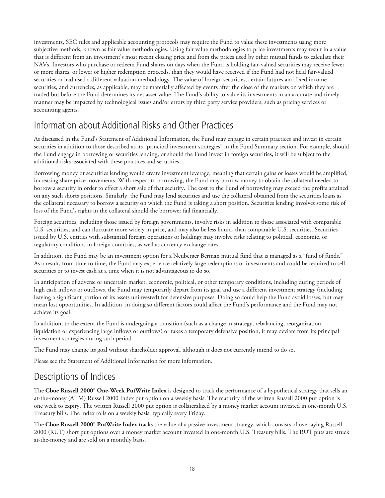<span id="page-19-0"></span>investments, SEC rules and applicable accounting protocols may require the Fund to value these investments using more subjective methods, known as fair value methodologies. Using fair value methodologies to price investments may result in a value that is different from an investment's most recent closing price and from the prices used by other mutual funds to calculate their NAVs. Investors who purchase or redeem Fund shares on days when the Fund is holding fair-valued securities may receive fewer or more shares, or lower or higher redemption proceeds, than they would have received if the Fund had not held fair-valued securities or had used a different valuation methodology. The value of foreign securities, certain futures and fixed income securities, and currencies, as applicable, may be materially affected by events after the close of the markets on which they are traded but before the Fund determines its net asset value. The Fund's ability to value its investments in an accurate and timely manner may be impacted by technological issues and/or errors by third party service providers, such as pricing services or accounting agents.

# Information about Additional Risks and Other Practices

As discussed in the Fund's Statement of Additional Information, the Fund may engage in certain practices and invest in certain securities in addition to those described as its "principal investment strategies" in the Fund Summary section. For example, should the Fund engage in borrowing or securities lending, or should the Fund invest in foreign securities, it will be subject to the additional risks associated with these practices and securities.

Borrowing money or securities lending would create investment leverage, meaning that certain gains or losses would be amplified, increasing share price movements. With respect to borrowing, the Fund may borrow money to obtain the collateral needed to borrow a security in order to effect a short sale of that security. The cost to the Fund of borrowing may exceed the profits attained on any such shorts positions. Similarly, the Fund may lend securities and use the collateral obtained from the securities loans as the collateral necessary to borrow a security on which the Fund is taking a short position. Securities lending involves some risk of loss of the Fund's rights in the collateral should the borrower fail financially.

Foreign securities, including those issued by foreign governments, involve risks in addition to those associated with comparable U.S. securities, and can fluctuate more widely in price, and may also be less liquid, than comparable U.S. securities. Securities issued by U.S. entities with substantial foreign operations or holdings may involve risks relating to political, economic, or regulatory conditions in foreign countries, as well as currency exchange rates.

In addition, the Fund may be an investment option for a Neuberger Berman mutual fund that is managed as a "fund of funds." As a result, from time to time, the Fund may experience relatively large redemptions or investments and could be required to sell securities or to invest cash at a time when it is not advantageous to do so.

In anticipation of adverse or uncertain market, economic, political, or other temporary conditions, including during periods of high cash inflows or outflows, the Fund may temporarily depart from its goal and use a different investment strategy (including leaving a significant portion of its assets uninvested) for defensive purposes. Doing so could help the Fund avoid losses, but may mean lost opportunities. In addition, in doing so different factors could affect the Fund's performance and the Fund may not achieve its goal.

In addition, to the extent the Fund is undergoing a transition (such as a change in strategy, rebalancing, reorganization, liquidation or experiencing large inflows or outflows) or takes a temporary defensive position, it may deviate from its principal investment strategies during such period.

The Fund may change its goal without shareholder approval, although it does not currently intend to do so.

Please see the Statement of Additional Information for more information.

## Descriptions of Indices

The **Cboe Russell 2000® One-Week PutWrite Index** is designed to track the performance of a hypothetical strategy that sells an at-the-money (ATM) Russell 2000 Index put option on a weekly basis. The maturity of the written Russell 2000 put option is one week to expiry. The written Russell 2000 put option is collateralized by a money market account invested in one-month U.S. Treasury bills. The index rolls on a weekly basis, typically every Friday.

The **Cboe Russell 2000® PutWrite Index** tracks the value of a passive investment strategy, which consists of overlaying Russell 2000 (RUT) short put options over a money market account invested in one-month U.S. Treasury bills. The RUT puts are struck at-the-money and are sold on a monthly basis.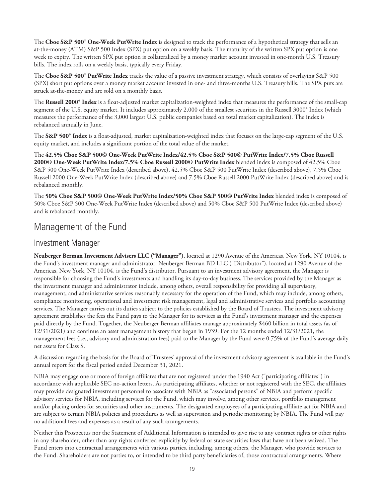<span id="page-20-0"></span>The **Cboe S&P 500® One-Week PutWrite Index** is designed to track the performance of a hypothetical strategy that sells an at-the-money (ATM) S&P 500 Index (SPX) put option on a weekly basis. The maturity of the written SPX put option is one week to expiry. The written SPX put option is collateralized by a money market account invested in one-month U.S. Treasury bills. The index rolls on a weekly basis, typically every Friday.

The **Cboe S&P 500® PutWrite Index** tracks the value of a passive investment strategy, which consists of overlaying S&P 500 (SPX) short put options over a money market account invested in one- and three-months U.S. Treasury bills. The SPX puts are struck at-the-money and are sold on a monthly basis.

The **Russell 2000® Index** is a float-adjusted market capitalization-weighted index that measures the performance of the small-cap segment of the U.S. equity market. It includes approximately 2,000 of the smallest securities in the Russell 3000® Index (which measures the performance of the 3,000 largest U.S. public companies based on total market capitalization). The index is rebalanced annually in June.

The **S&P 500® Index** is a float-adjusted, market capitalization-weighted index that focuses on the large-cap segment of the U.S. equity market, and includes a significant portion of the total value of the market.

The **42.5% Cboe S&P 500© One-Week PutWrite Index/42.5% Cboe S&P 500© PutWrite Index/7.5% Cboe Russell 2000© One-Week PutWrite Index/7.5% Cboe Russell 2000© PutWrite Index** blended index is composed of 42.5% Cboe S&P 500 One-Week PutWrite Index (described above), 42.5% Cboe S&P 500 PutWrite Index (described above), 7.5% Cboe Russell 2000 One-Week PutWrite Index (described above) and 7.5% Cboe Russell 2000 PutWrite Index (described above) and is rebalanced monthly.

The **50% Cboe S&P 500© One-Week PutWrite Index/50% Cboe S&P 500© PutWrite Index** blended index is composed of 50% Cboe S&P 500 One-Week PutWrite Index (described above) and 50% Cboe S&P 500 PutWrite Index (described above) and is rebalanced monthly.

### Management of the Fund

### Investment Manager

**Neuberger Berman Investment Advisers LLC ("Manager")**, located at 1290 Avenue of the Americas, New York, NY 10104, is the Fund's investment manager and administrator. Neuberger Berman BD LLC ("Distributor"), located at 1290 Avenue of the Americas, New York, NY 10104, is the Fund's distributor. Pursuant to an investment advisory agreement, the Manager is responsible for choosing the Fund's investments and handling its day-to-day business. The services provided by the Manager as the investment manager and administrator include, among others, overall responsibility for providing all supervisory, management, and administrative services reasonably necessary for the operation of the Fund, which may include, among others, compliance monitoring, operational and investment risk management, legal and administrative services and portfolio accounting services. The Manager carries out its duties subject to the policies established by the Board of Trustees. The investment advisory agreement establishes the fees the Fund pays to the Manager for its services as the Fund's investment manager and the expenses paid directly by the Fund. Together, the Neuberger Berman affiliates manage approximately \$460 billion in total assets (as of 12/31/2021) and continue an asset management history that began in 1939. For the 12 months ended 12/31/2021, the management fees (i.e., advisory and administration fees) paid to the Manager by the Fund were 0.75% of the Fund's average daily net assets for Class S.

A discussion regarding the basis for the Board of Trustees' approval of the investment advisory agreement is available in the Fund's annual report for the fiscal period ended December 31, 2021.

NBIA may engage one or more of foreign affiliates that are not registered under the 1940 Act ("participating affiliates") in accordance with applicable SEC no-action letters. As participating affiliates, whether or not registered with the SEC, the affiliates may provide designated investment personnel to associate with NBIA as "associated persons" of NBIA and perform specific advisory services for NBIA, including services for the Fund, which may involve, among other services, portfolio management and/or placing orders for securities and other instruments. The designated employees of a participating affiliate act for NBIA and are subject to certain NBIA policies and procedures as well as supervision and periodic monitoring by NBIA. The Fund will pay no additional fees and expenses as a result of any such arrangements.

Neither this Prospectus nor the Statement of Additional Information is intended to give rise to any contract rights or other rights in any shareholder, other than any rights conferred explicitly by federal or state securities laws that have not been waived. The Fund enters into contractual arrangements with various parties, including, among others, the Manager, who provide services to the Fund. Shareholders are not parties to, or intended to be third party beneficiaries of, those contractual arrangements. Where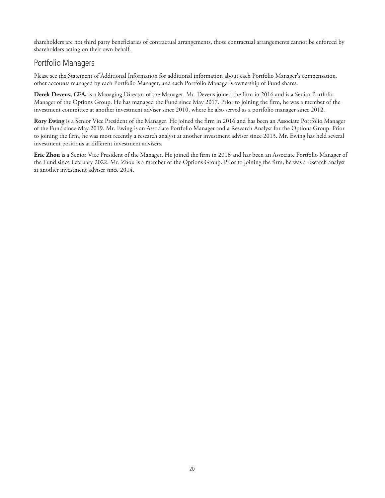shareholders are not third party beneficiaries of contractual arrangements, those contractual arrangements cannot be enforced by shareholders acting on their own behalf.

### Portfolio Managers

Please see the Statement of Additional Information for additional information about each Portfolio Manager's compensation, other accounts managed by each Portfolio Manager, and each Portfolio Manager's ownership of Fund shares.

**Derek Devens, CFA,** is a Managing Director of the Manager. Mr. Devens joined the firm in 2016 and is a Senior Portfolio Manager of the Options Group. He has managed the Fund since May 2017. Prior to joining the firm, he was a member of the investment committee at another investment adviser since 2010, where he also served as a portfolio manager since 2012.

**Rory Ewing** is a Senior Vice President of the Manager. He joined the firm in 2016 and has been an Associate Portfolio Manager of the Fund since May 2019. Mr. Ewing is an Associate Portfolio Manager and a Research Analyst for the Options Group. Prior to joining the firm, he was most recently a research analyst at another investment adviser since 2013. Mr. Ewing has held several investment positions at different investment advisers.

**Eric Zhou** is a Senior Vice President of the Manager. He joined the firm in 2016 and has been an Associate Portfolio Manager of the Fund since February 2022. Mr. Zhou is a member of the Options Group. Prior to joining the firm, he was a research analyst at another investment adviser since 2014.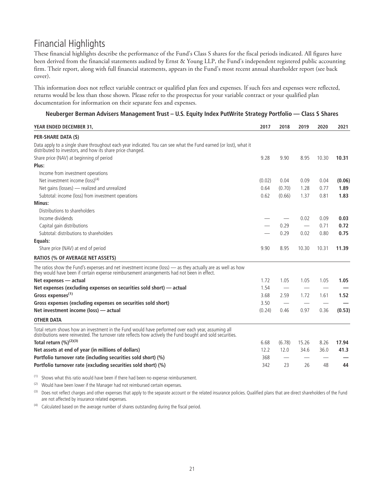# <span id="page-22-0"></span>Financial Highlights

These financial highlights describe the performance of the Fund's Class S shares for the fiscal periods indicated. All figures have been derived from the financial statements audited by Ernst & Young LLP, the Fund's independent registered public accounting firm. Their report, along with full financial statements, appears in the Fund's most recent annual shareholder report (see back cover).

This information does not reflect variable contract or qualified plan fees and expenses. If such fees and expenses were reflected, returns would be less than those shown. Please refer to the prospectus for your variable contract or your qualified plan documentation for information on their separate fees and expenses.

| Neuberger Berman Advisers Management Trust - U.S. Equity Index PutWrite Strategy Portfolio - Class S Shares |  |  |
|-------------------------------------------------------------------------------------------------------------|--|--|
|                                                                                                             |  |  |
|                                                                                                             |  |  |

| YEAR ENDED DECEMBER 31,                                                                                                                                                                                           | 2017   | 2018   | 2019  | 2020  | 2021   |
|-------------------------------------------------------------------------------------------------------------------------------------------------------------------------------------------------------------------|--------|--------|-------|-------|--------|
| PER-SHARE DATA (\$)                                                                                                                                                                                               |        |        |       |       |        |
| Data apply to a single share throughout each year indicated. You can see what the Fund earned (or lost), what it<br>distributed to investors, and how its share price changed.                                    |        |        |       |       |        |
| Share price (NAV) at beginning of period                                                                                                                                                                          | 9.28   | 9.90   | 8.95  | 10.30 | 10.31  |
| Plus:                                                                                                                                                                                                             |        |        |       |       |        |
| Income from investment operations                                                                                                                                                                                 |        |        |       |       |        |
| Net investment income (loss) <sup>(4)</sup>                                                                                                                                                                       | (0.02) | 0.04   | 0.09  | 0.04  | (0.06) |
| Net gains (losses) - realized and unrealized                                                                                                                                                                      | 0.64   | (0.70) | 1.28  | 0.77  | 1.89   |
| Subtotal: income (loss) from investment operations                                                                                                                                                                | 0.62   | (0.66) | 1.37  | 0.81  | 1.83   |
| Minus:                                                                                                                                                                                                            |        |        |       |       |        |
| Distributions to shareholders                                                                                                                                                                                     |        |        |       |       |        |
| Income dividends                                                                                                                                                                                                  |        |        | 0.02  | 0.09  | 0.03   |
| Capital gain distributions                                                                                                                                                                                        |        | 0.29   |       | 0.71  | 0.72   |
| Subtotal: distributions to shareholders                                                                                                                                                                           |        | 0.29   | 0.02  | 0.80  | 0.75   |
| Equals:                                                                                                                                                                                                           |        |        |       |       |        |
| Share price (NAV) at end of period                                                                                                                                                                                | 9.90   | 8.95   | 10.30 | 10.31 | 11.39  |
| <b>RATIOS (% OF AVERAGE NET ASSETS)</b>                                                                                                                                                                           |        |        |       |       |        |
| The ratios show the Fund's expenses and net investment income (loss) - as they actually are as well as how<br>they would have been if certain expense reimbursement arrangements had not been in effect.          |        |        |       |       |        |
| Net expenses - actual                                                                                                                                                                                             | 1.72   | 1.05   | 1.05  | 1.05  | 1.05   |
| Net expenses (excluding expenses on securities sold short) — actual                                                                                                                                               | 1.54   |        |       |       |        |
| Gross expenses <sup>(1)</sup>                                                                                                                                                                                     | 3.68   | 2.59   | 1.72  | 1.61  | 1.52   |
| Gross expenses (excluding expenses on securities sold short)                                                                                                                                                      | 3.50   |        |       |       |        |
| Net investment income (loss) - actual                                                                                                                                                                             | (0.24) | 0.46   | 0.97  | 0.36  | (0.53) |
| <b>OTHER DATA</b>                                                                                                                                                                                                 |        |        |       |       |        |
| Total return shows how an investment in the Fund would have performed over each year, assuming all<br>distributions were reinvested. The turnover rate reflects how actively the Fund bought and sold securities. |        |        |       |       |        |
| Total return $(\frac{9}{6})^{(2)(3)}$                                                                                                                                                                             | 6.68   | (6.78) | 15.26 | 8.26  | 17.94  |
| Net assets at end of year (in millions of dollars)                                                                                                                                                                | 12.2   | 12.0   | 34.6  | 36.0  | 41.3   |
| Portfolio turnover rate (including securities sold short) (%)                                                                                                                                                     | 368    |        |       |       |        |
| Portfolio turnover rate (excluding securities sold short) (%)                                                                                                                                                     | 342    | 23     | 26    | 48    | 44     |

(1) Shows what this ratio would have been if there had been no expense reimbursement.

(2) Would have been lower if the Manager had not reimbursed certain expenses.

(3) Does not reflect charges and other expenses that apply to the separate account or the related insurance policies. Qualified plans that are direct shareholders of the Fund are not affected by insurance related expenses.

 $(4)$  Calculated based on the average number of shares outstanding during the fiscal period.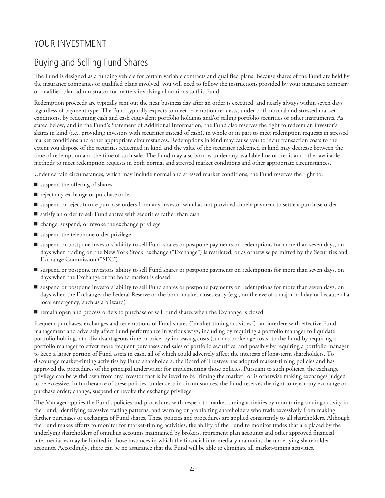# <span id="page-23-0"></span>YOUR INVESTMENT

# Buying and Selling Fund Shares

The Fund is designed as a funding vehicle for certain variable contracts and qualified plans. Because shares of the Fund are held by the insurance companies or qualified plans involved, you will need to follow the instructions provided by your insurance company or qualified plan administrator for matters involving allocations to this Fund.

Redemption proceeds are typically sent out the next business day after an order is executed, and nearly always within seven days regardless of payment type. The Fund typically expects to meet redemption requests, under both normal and stressed market conditions, by redeeming cash and cash equivalent portfolio holdings and/or selling portfolio securities or other instruments. As stated below, and in the Fund's Statement of Additional Information, the Fund also reserves the right to redeem an investor's shares in kind (i.e., providing investors with securities instead of cash), in whole or in part to meet redemption requests in stressed market conditions and other appropriate circumstances. Redemptions in kind may cause you to incur transaction costs to the extent you dispose of the securities redeemed in kind and the value of the securities redeemed in kind may decrease between the time of redemption and the time of such sale. The Fund may also borrow under any available line of credit and other available methods to meet redemption requests in both normal and stressed market conditions and other appropriate circumstances.

Under certain circumstances, which may include normal and stressed market conditions, the Fund reserves the right to:

- suspend the offering of shares
- reject any exchange or purchase order
- suspend or reject future purchase orders from any investor who has not provided timely payment to settle a purchase order
- satisfy an order to sell Fund shares with securities rather than cash
- change, suspend, or revoke the exchange privilege
- suspend the telephone order privilege
- suspend or postpone investors' ability to sell Fund shares or postpone payments on redemptions for more than seven days, on days when trading on the New York Stock Exchange ("Exchange") is restricted, or as otherwise permitted by the Securities and Exchange Commission ("SEC")
- suspend or postpone investors' ability to sell Fund shares or postpone payments on redemptions for more than seven days, on days when the Exchange or the bond market is closed
- suspend or postpone investors' ability to sell Fund shares or postpone payments on redemptions for more than seven days, on days when the Exchange, the Federal Reserve or the bond market closes early (e.g., on the eve of a major holiday or because of a local emergency, such as a blizzard)
- $\blacksquare$  remain open and process orders to purchase or sell Fund shares when the Exchange is closed.

Frequent purchases, exchanges and redemptions of Fund shares ("market-timing activities") can interfere with effective Fund management and adversely affect Fund performance in various ways, including by requiring a portfolio manager to liquidate portfolio holdings at a disadvantageous time or price, by increasing costs (such as brokerage costs) to the Fund by requiring a portfolio manager to effect more frequent purchases and sales of portfolio securities, and possibly by requiring a portfolio manager to keep a larger portion of Fund assets in cash, all of which could adversely affect the interests of long-term shareholders. To discourage market-timing activities by Fund shareholders, the Board of Trustees has adopted market-timing policies and has approved the procedures of the principal underwriter for implementing those policies. Pursuant to such policies, the exchange privilege can be withdrawn from any investor that is believed to be "timing the market" or is otherwise making exchanges judged to be excessive. In furtherance of these policies, under certain circumstances, the Fund reserves the right to reject any exchange or purchase order; change, suspend or revoke the exchange privilege.

The Manager applies the Fund's policies and procedures with respect to market-timing activities by monitoring trading activity in the Fund, identifying excessive trading patterns, and warning or prohibiting shareholders who trade excessively from making further purchases or exchanges of Fund shares. These policies and procedures are applied consistently to all shareholders. Although the Fund makes efforts to monitor for market-timing activities, the ability of the Fund to monitor trades that are placed by the underlying shareholders of omnibus accounts maintained by brokers, retirement plan accounts and other approved financial intermediaries may be limited in those instances in which the financial intermediary maintains the underlying shareholder accounts. Accordingly, there can be no assurance that the Fund will be able to eliminate all market-timing activities.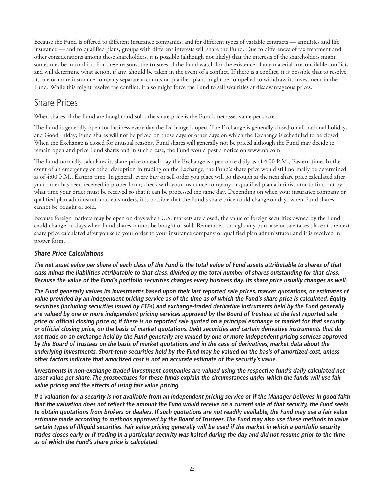<span id="page-24-0"></span>Because the Fund is offered to different insurance companies, and for different types of variable contracts — annuities and life insurance — and to qualified plans, groups with different interests will share the Fund. Due to differences of tax treatment and other considerations among these shareholders, it is possible (although not likely) that the interests of the shareholders might sometimes be in conflict. For these reasons, the trustees of the Fund watch for the existence of any material irreconcilable conflicts and will determine what action, if any, should be taken in the event of a conflict. If there is a conflict, it is possible that to resolve it, one or more insurance company separate accounts or qualified plans might be compelled to withdraw its investment in the Fund. While this might resolve the conflict, it also might force the Fund to sell securities at disadvantageous prices.

# Share Prices

When shares of the Fund are bought and sold, the share price is the Fund's net asset value per share.

The Fund is generally open for business every day the Exchange is open. The Exchange is generally closed on all national holidays and Good Friday; Fund shares will not be priced on those days or other days on which the Exchange is scheduled to be closed. When the Exchange is closed for unusual reasons, Fund shares will generally not be priced although the Fund may decide to remain open and price Fund shares and in such a case, the Fund would post a notice on www.nb.com.

The Fund normally calculates its share price on each day the Exchange is open once daily as of 4:00 P.M., Eastern time. In the event of an emergency or other disruption in trading on the Exchange, the Fund's share price would still normally be determined as of 4:00 P.M., Eastern time. In general, every buy or sell order you place will go through at the next share price calculated after your order has been received in proper form; check with your insurance company or qualified plan administrator to find out by what time your order must be received so that it can be processed the same day. Depending on when your insurance company or qualified plan administrator accepts orders, it is possible that the Fund's share price could change on days when Fund shares cannot be bought or sold.

Because foreign markets may be open on days when U.S. markets are closed, the value of foreign securities owned by the Fund could change on days when Fund shares cannot be bought or sold. Remember, though, any purchase or sale takes place at the next share price calculated after you send your order to your insurance company or qualified plan administrator and it is received in proper form.

### **Share Price Calculations**

The net asset value per share of each class of the Fund is the total value of Fund assets attributable to shares of that class minus the liabilities attributable to that class, divided by the total number of shares outstanding for that class. Because the value of the Fund's portfolio securities changes every business day, its share price usually changes as well.

The Fund generally values its investments based upon their last reported sale prices, market quotations, or estimates of value provided by an independent pricing service as of the time as of which the Fund's share price is calculated. Equity securities (including securities issued by ETFs) and exchange-traded derivative instruments held by the Fund generally are valued by one or more independent pricing services approved by the Board of Trustees at the last reported sale price or official closing price or, if there is no reported sale quoted on a principal exchange or market for that security or official closing price, on the basis of market quotations. Debt securities and certain derivative instruments that do not trade on an exchange held by the Fund generally are valued by one or more independent pricing services approved by the Board of Trustees on the basis of market quotations and in the case of derivatives, market data about the underlying investments. Short-term securities held by the Fund may be valued on the basis of amortized cost, unless other factors indicate that amortized cost is not an accurate estimate of the security's value.

Investments in non-exchange traded investment companies are valued using the respective fund's daily calculated net asset value per share. The prospectuses for these funds explain the circumstances under which the funds will use fair **value pricing and the effects of using fair value pricing.**

If a valuation for a security is not available from an independent pricing service or if the Manager believes in good faith that the valuation does not reflect the amount the Fund would receive on a current sale of that security, the Fund seeks to obtain quotations from brokers or dealers. If such quotations are not readily available, the Fund may use a fair value estimate made according to methods approved by the Board of Trustees. The Fund may also use these methods to value certain types of illiquid securities. Fair value pricing generally will be used if the market in which a portfolio security trades closes early or if trading in a particular security was halted during the day and did not resume prior to the time **as of which the Fund's share price is calculated.**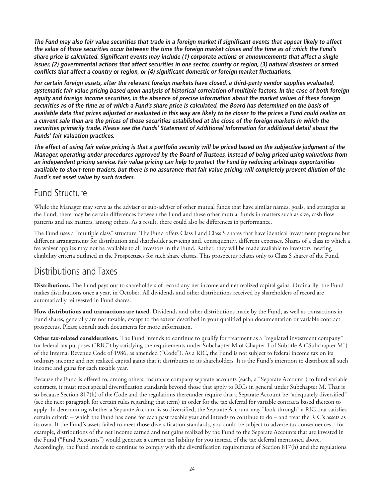<span id="page-25-0"></span>The Fund may also fair value securities that trade in a foreign market if significant events that appear likely to affect the value of those securities occur between the time the foreign market closes and the time as of which the Fund's share price is calculated. Significant events may include (1) corporate actions or announcements that affect a single issuer, (2) governmental actions that affect securities in one sector, country or region, (3) natural disasters or armed conflicts that affect a country or region, or (4) significant domestic or foreign market fluctuations.

For certain foreign assets, after the relevant foreign markets have closed, a third-party vendor supplies evaluated, systematic fair value pricing based upon analysis of historical correlation of multiple factors. In the case of both foreign equity and foreign income securities, in the absence of precise information about the market values of these foreign securities as of the time as of which a Fund's share price is calculated, the Board has determined on the basis of available data that prices adjusted or evaluated in this way are likely to be closer to the prices a Fund could realize on a current sale than are the prices of those securities established at the close of the foreign markets in which the securities primarily trade. Please see the Funds' Statement of Additional Information for additional detail about the **Funds' fair valuation practices.**

The effect of using fair value pricing is that a portfolio security will be priced based on the subjective judgment of the Manager, operating under procedures approved by the Board of Trustees, instead of being priced using valuations from an independent pricing service. Fair value pricing can help to protect the Fund by reducing arbitrage opportunities available to short-term traders, but there is no assurance that fair value pricing will completely prevent dilution of the **Fund's net asset value by such traders.**

## Fund Structure

While the Manager may serve as the adviser or sub-adviser of other mutual funds that have similar names, goals, and strategies as the Fund, there may be certain differences between the Fund and these other mutual funds in matters such as size, cash flow patterns and tax matters, among others. As a result, there could also be differences in performance.

The Fund uses a "multiple class" structure. The Fund offers Class I and Class S shares that have identical investment programs but different arrangements for distribution and shareholder servicing and, consequently, different expenses. Shares of a class to which a fee waiver applies may not be available to all investors in the Fund. Rather, they will be made available to investors meeting eligibility criteria outlined in the Prospectuses for such share classes. This prospectus relates only to Class S shares of the Fund.

## Distributions and Taxes

**Distributions.** The Fund pays out to shareholders of record any net income and net realized capital gains. Ordinarily, the Fund makes distributions once a year, in October. All dividends and other distributions received by shareholders of record are automatically reinvested in Fund shares.

**How distributions and transactions are taxed.** Dividends and other distributions made by the Fund, as well as transactions in Fund shares, generally are not taxable, except to the extent described in your qualified plan documentation or variable contract prospectus. Please consult such documents for more information.

**Other tax-related considerations.** The Fund intends to continue to qualify for treatment as a "regulated investment company" for federal tax purposes ("RIC") by satisfying the requirements under Subchapter M of Chapter 1 of Subtitle A ("Subchapter M") of the Internal Revenue Code of 1986, as amended ("Code"). As a RIC, the Fund is not subject to federal income tax on its ordinary income and net realized capital gains that it distributes to its shareholders. It is the Fund's intention to distribute all such income and gains for each taxable year.

Because the Fund is offered to, among others, insurance company separate accounts (each, a "Separate Account") to fund variable contracts, it must meet special diversification standards beyond those that apply to RICs in general under Subchapter M. That is so because Section 817(h) of the Code and the regulations thereunder require that a Separate Account be "adequately diversified" (see the next paragraph for certain rules regarding that term) in order for the tax deferral for variable contracts based thereon to apply. In determining whether a Separate Account is so diversified, the Separate Account may "look-through" a RIC that satisfies certain criteria – which the Fund has done for each past taxable year and intends to continue to do – and treat the RIC's assets as its own. If the Fund's assets failed to meet those diversification standards, you could be subject to adverse tax consequences – for example, distributions of the net income earned and net gains realized by the Fund to the Separate Accounts that are invested in the Fund ("Fund Accounts") would generate a current tax liability for you instead of the tax deferral mentioned above. Accordingly, the Fund intends to continue to comply with the diversification requirements of Section 817(h) and the regulations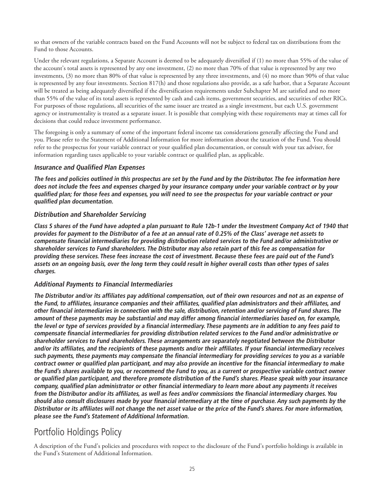<span id="page-26-0"></span>so that owners of the variable contracts based on the Fund Accounts will not be subject to federal tax on distributions from the Fund to those Accounts.

Under the relevant regulations, a Separate Account is deemed to be adequately diversified if (1) no more than 55% of the value of the account's total assets is represented by any one investment, (2) no more than 70% of that value is represented by any two investments, (3) no more than 80% of that value is represented by any three investments, and (4) no more than 90% of that value is represented by any four investments. Section 817(h) and those regulations also provide, as a safe harbor, that a Separate Account will be treated as being adequately diversified if the diversification requirements under Subchapter M are satisfied and no more than 55% of the value of its total assets is represented by cash and cash items, government securities, and securities of other RICs. For purposes of those regulations, all securities of the same issuer are treated as a single investment, but each U.S. government agency or instrumentality is treated as a separate issuer. It is possible that complying with these requirements may at times call for decisions that could reduce investment performance.

The foregoing is only a summary of some of the important federal income tax considerations generally affecting the Fund and you. Please refer to the Statement of Additional Information for more information about the taxation of the Fund. You should refer to the prospectus for your variable contract or your qualified plan documentation, or consult with your tax adviser, for information regarding taxes applicable to your variable contract or qualified plan, as applicable.

### **Insurance and Qualified Plan Expenses**

The fees and policies outlined in this prospectus are set by the Fund and by the Distributor. The fee information here does not include the fees and expenses charged by your insurance company under your variable contract or by your qualified plan; for those fees and expenses, you will need to see the prospectus for your variable contract or your **qualified plan documentation.**

### **Distribution and Shareholder Servicing**

Class S shares of the Fund have adopted a plan pursuant to Rule 12b-1 under the Investment Company Act of 1940 that provides for payment to the Distributor of a fee at an annual rate of 0.25% of the Class' average net assets to compensate financial intermediaries for providing distribution related services to the Fund and/or administrative or shareholder services to Fund shareholders. The Distributor may also retain part of this fee as compensation for providing these services. These fees increase the cost of investment. Because these fees are paid out of the Fund's assets on an ongoing basis, over the long term they could result in higher overall costs than other types of sales **charges.**

### **Additional Payments to Financial Intermediaries**

The Distributor and/or its affiliates pay additional compensation, out of their own resources and not as an expense of the Fund, to affiliates, insurance companies and their affiliates, qualified plan administrators and their affiliates, and other financial intermediaries in connection with the sale, distribution, retention and/or servicing of Fund shares. The amount of these payments may be substantial and may differ among financial intermediaries based on, for example, the level or type of services provided by a financial intermediary. These payments are in addition to any fees paid to compensate financial intermediaries for providing distribution related services to the Fund and/or administrative or shareholder services to Fund shareholders. These arrangements are separately negotiated between the Distributor and/or its affiliates, and the recipients of these payments and/or their affiliates. If your financial intermediary receives such payments, these payments may compensate the financial intermediary for providing services to you as a variable contract owner or qualified plan participant, and may also provide an incentive for the financial intermediary to make the Fund's shares available to you, or recommend the Fund to you, as a current or prospective variable contract owner or qualified plan participant, and therefore promote distribution of the Fund's shares. Please speak with your insurance company, qualified plan administrator or other financial intermediary to learn more about any payments it receives from the Distributor and/or its affiliates, as well as fees and/or commissions the financial intermediary charges. You should also consult disclosures made by your financial intermediary at the time of purchase. Any such payments by the Distributor or its affiliates will not change the net asset value or the price of the Fund's shares. For more information, **please see the Fund's Statement of Additional Information.**

# Portfolio Holdings Policy

A description of the Fund's policies and procedures with respect to the disclosure of the Fund's portfolio holdings is available in the Fund's Statement of Additional Information.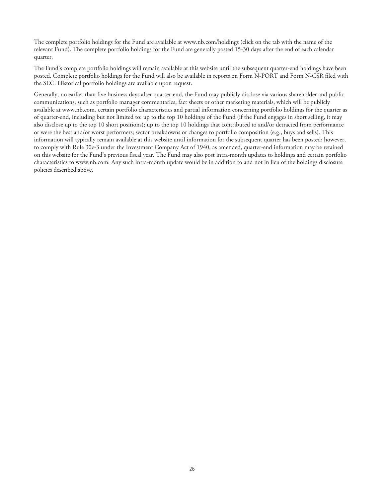The complete portfolio holdings for the Fund are available at www.nb.com/holdings (click on the tab with the name of the relevant Fund). The complete portfolio holdings for the Fund are generally posted 15-30 days after the end of each calendar quarter.

The Fund's complete portfolio holdings will remain available at this website until the subsequent quarter-end holdings have been posted. Complete portfolio holdings for the Fund will also be available in reports on Form N-PORT and Form N-CSR filed with the SEC. Historical portfolio holdings are available upon request.

Generally, no earlier than five business days after quarter-end, the Fund may publicly disclose via various shareholder and public communications, such as portfolio manager commentaries, fact sheets or other marketing materials, which will be publicly available at www.nb.com, certain portfolio characteristics and partial information concerning portfolio holdings for the quarter as of quarter-end, including but not limited to: up to the top 10 holdings of the Fund (if the Fund engages in short selling, it may also disclose up to the top 10 short positions); up to the top 10 holdings that contributed to and/or detracted from performance or were the best and/or worst performers; sector breakdowns or changes to portfolio composition (e.g., buys and sells). This information will typically remain available at this website until information for the subsequent quarter has been posted; however, to comply with Rule 30e-3 under the Investment Company Act of 1940, as amended, quarter-end information may be retained on this website for the Fund's previous fiscal year. The Fund may also post intra-month updates to holdings and certain portfolio characteristics to www.nb.com. Any such intra-month update would be in addition to and not in lieu of the holdings disclosure policies described above.